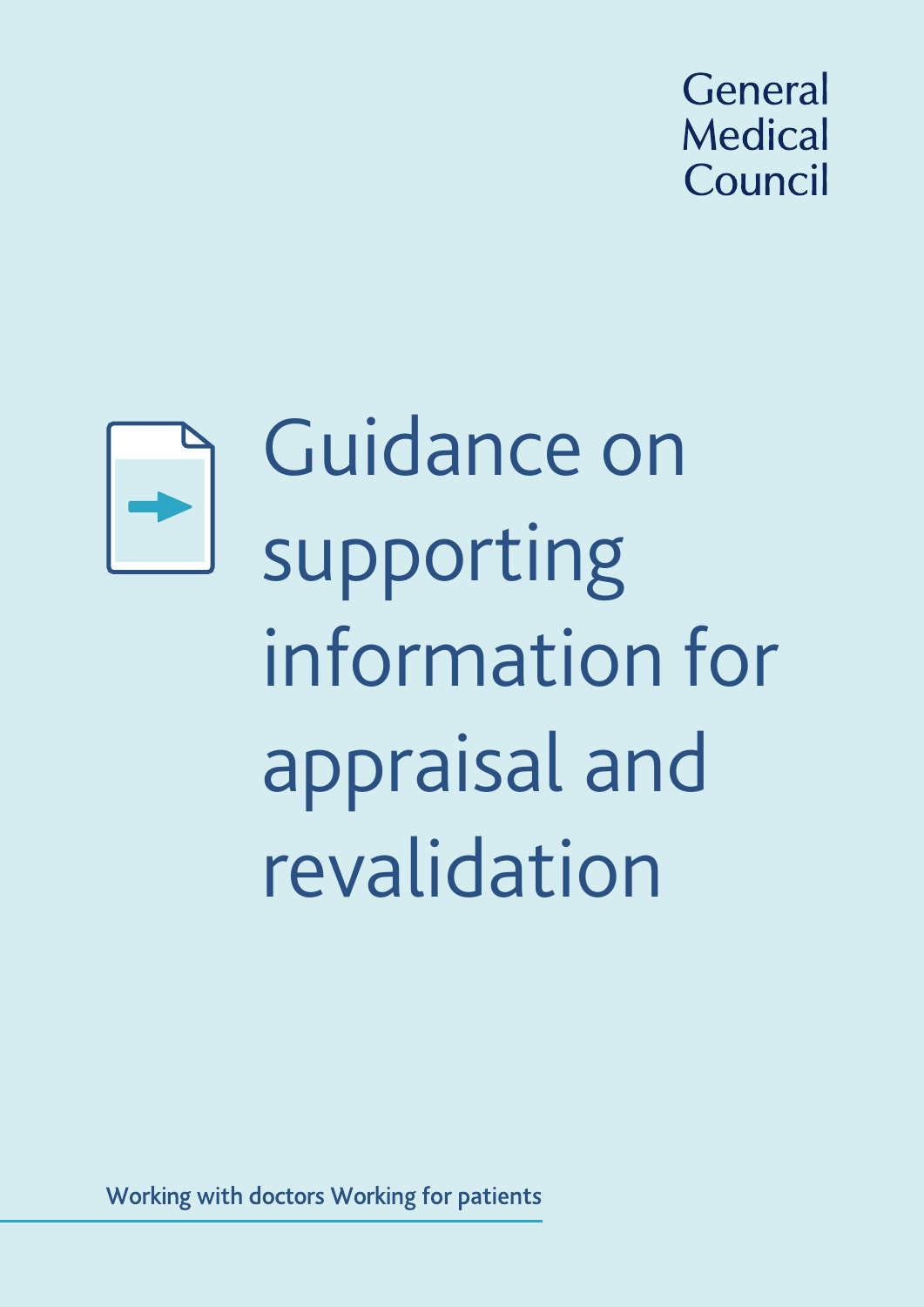



Guidance on supporting information for appraisal and revalidation

Working with doctors Working for patients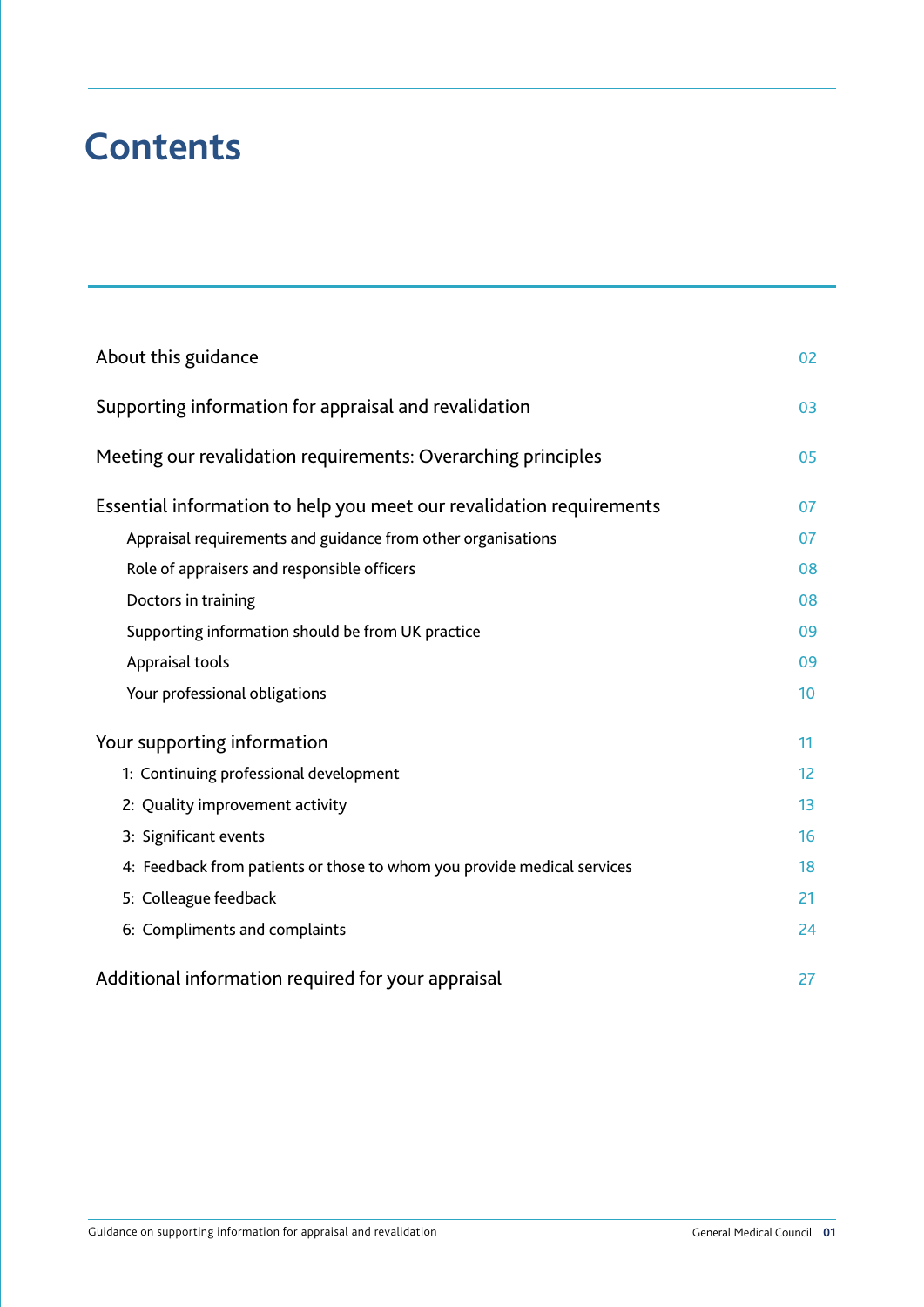# **Contents**

| About this guidance                                                     | 02 |
|-------------------------------------------------------------------------|----|
| Supporting information for appraisal and revalidation                   | 03 |
| Meeting our revalidation requirements: Overarching principles           | 05 |
| Essential information to help you meet our revalidation requirements    | 07 |
| Appraisal requirements and guidance from other organisations            | 07 |
| Role of appraisers and responsible officers                             | 08 |
| Doctors in training                                                     | 08 |
| Supporting information should be from UK practice                       | 09 |
| Appraisal tools                                                         | 09 |
| Your professional obligations                                           | 10 |
| Your supporting information                                             | 11 |
| 1: Continuing professional development                                  | 12 |
| 2: Quality improvement activity                                         | 13 |
| 3: Significant events                                                   | 16 |
| 4: Feedback from patients or those to whom you provide medical services | 18 |
| 5: Colleague feedback                                                   | 21 |
| 6: Compliments and complaints                                           | 24 |
| Additional information required for your appraisal                      | 27 |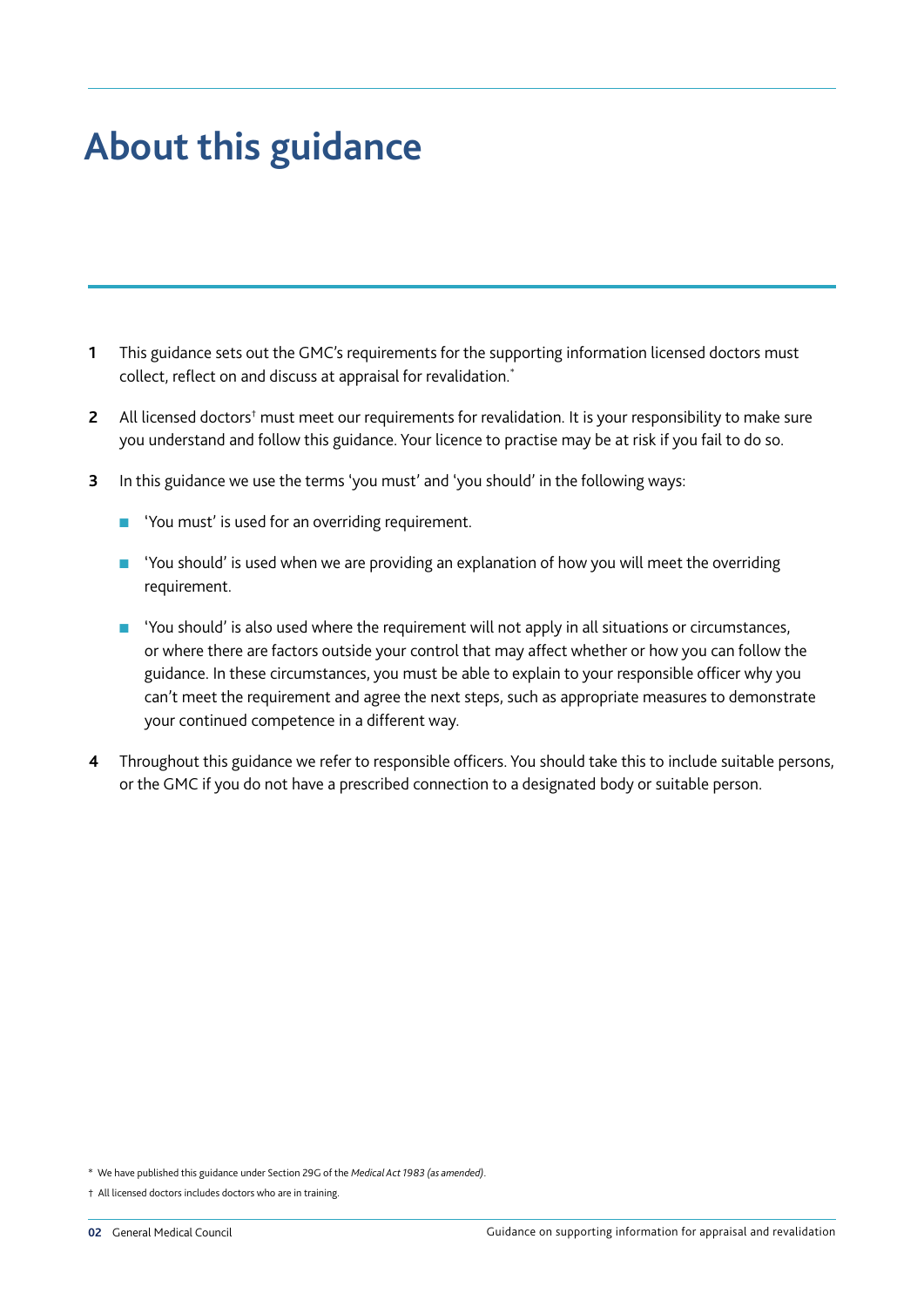# **About this guidance**

- **1** This guidance sets out the GMC's requirements for the supporting information licensed doctors must collect, reflect on and discuss at appraisal for revalidation.\*
- 2 All licensed doctors<sup>†</sup> must meet our requirements for revalidation. It is your responsibility to make sure you understand and follow this guidance. Your licence to practise may be at risk if you fail to do so.
- **3** In this guidance we use the terms 'you must' and 'you should' in the following ways:
	- 'You must' is used for an overriding requirement.
	- 'You should' is used when we are providing an explanation of how you will meet the overriding requirement.
	- 'You should' is also used where the requirement will not apply in all situations or circumstances, or where there are factors outside your control that may affect whether or how you can follow the guidance. In these circumstances, you must be able to explain to your responsible officer why you can't meet the requirement and agree the next steps, such as appropriate measures to demonstrate your continued competence in a different way.
- **4** Throughout this guidance we refer to responsible officers. You should take this to include suitable persons, or the GMC if you do not have a prescribed connection to a designated body or suitable person.

\* We have published this guidance under Section 29G of the *Medical Act 1983 (as amended)*.

† All licensed doctors includes doctors who are in training.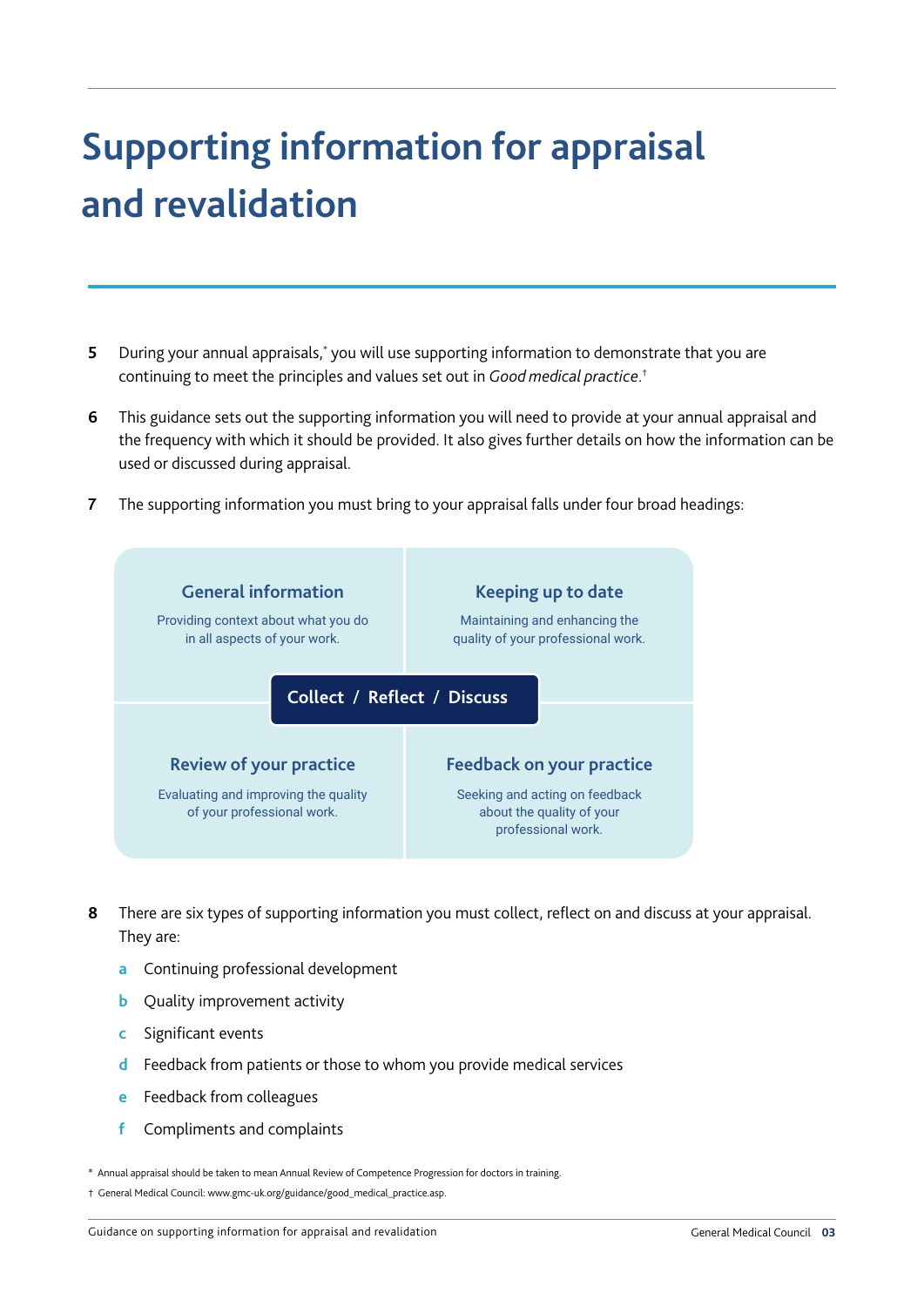# **Supporting information for appraisal and revalidation**

- **5** During your annual appraisals,<sup>\*</sup> you will use supporting information to demonstrate that you are continuing to meet the principles and values set out in *Good medical practice*. †
- **6** This guidance sets out the supporting information you will need to provide at your annual appraisal and the frequency with which it should be provided. It also gives further details on how the information can be used or discussed during appraisal.
- **7** The supporting information you must bring to your appraisal falls under four broad headings:



- **8** There are six types of supporting information you must collect, reflect on and discuss at your appraisal. They are:
	- **a** Continuing professional development
	- **b** Quality improvement activity
	- **c** Significant events
	- **d** Feedback from patients or those to whom you provide medical services
	- **e** Feedback from colleagues
	- **f** Compliments and complaints

\* Annual appraisal should be taken to mean Annual Review of Competence Progression for doctors in training.

<sup>†</sup> General Medical Council: www.gmc-uk.org/guidance/good\_medical\_practice.asp.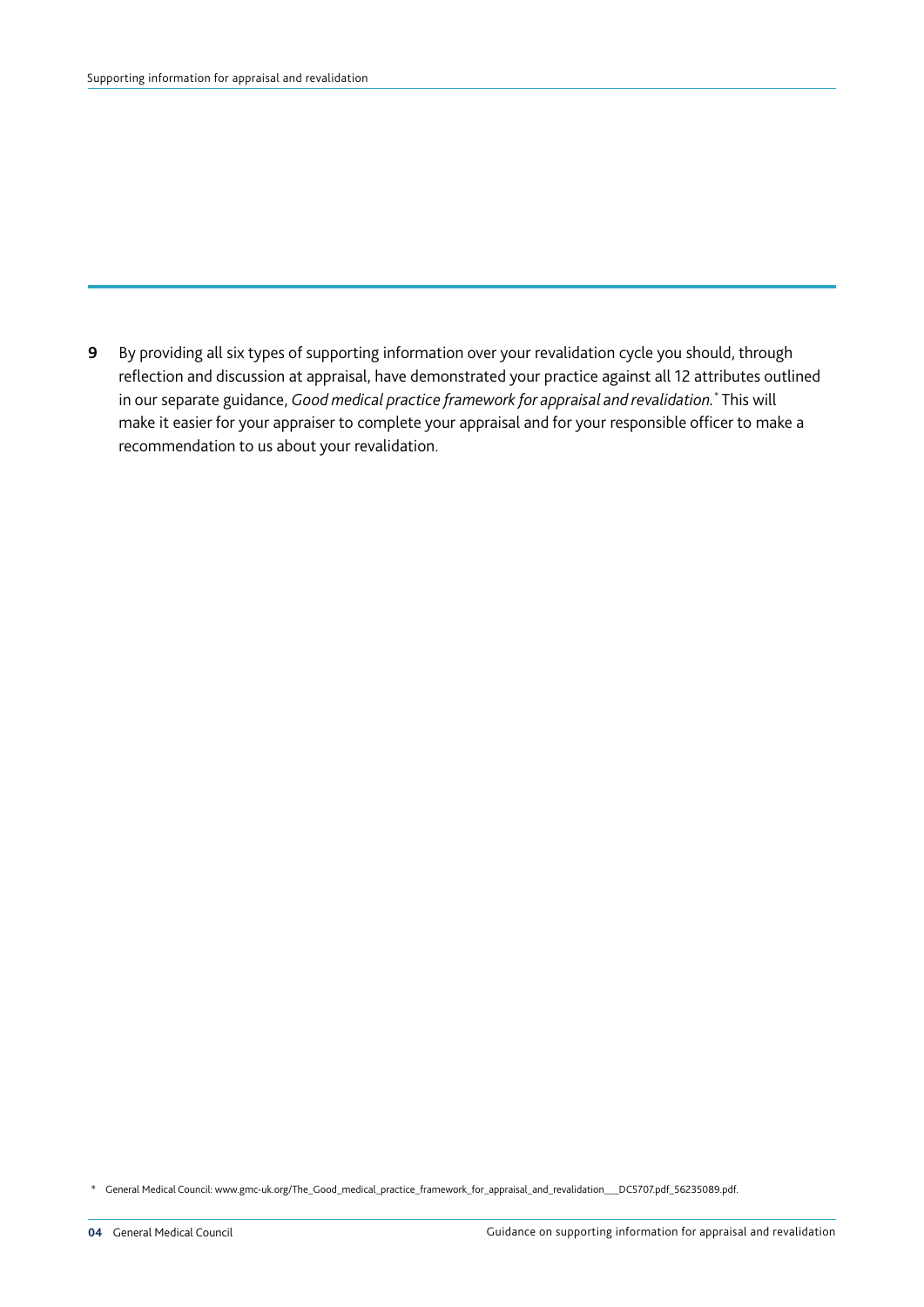**9** By providing all six types of supporting information over your revalidation cycle you should, through reflection and discussion at appraisal, have demonstrated your practice against all 12 attributes outlined in our separate guidance, *Good medical practice framework for appraisal and revalidation.* \* This will make it easier for your appraiser to complete your appraisal and for your responsible officer to make a recommendation to us about your revalidation.

\* General Medical Council: www.gmc-uk.org/The\_Good\_medical\_practice\_framework\_for\_appraisal\_and\_revalidation\_\_\_DC5707.pdf\_56235089.pdf.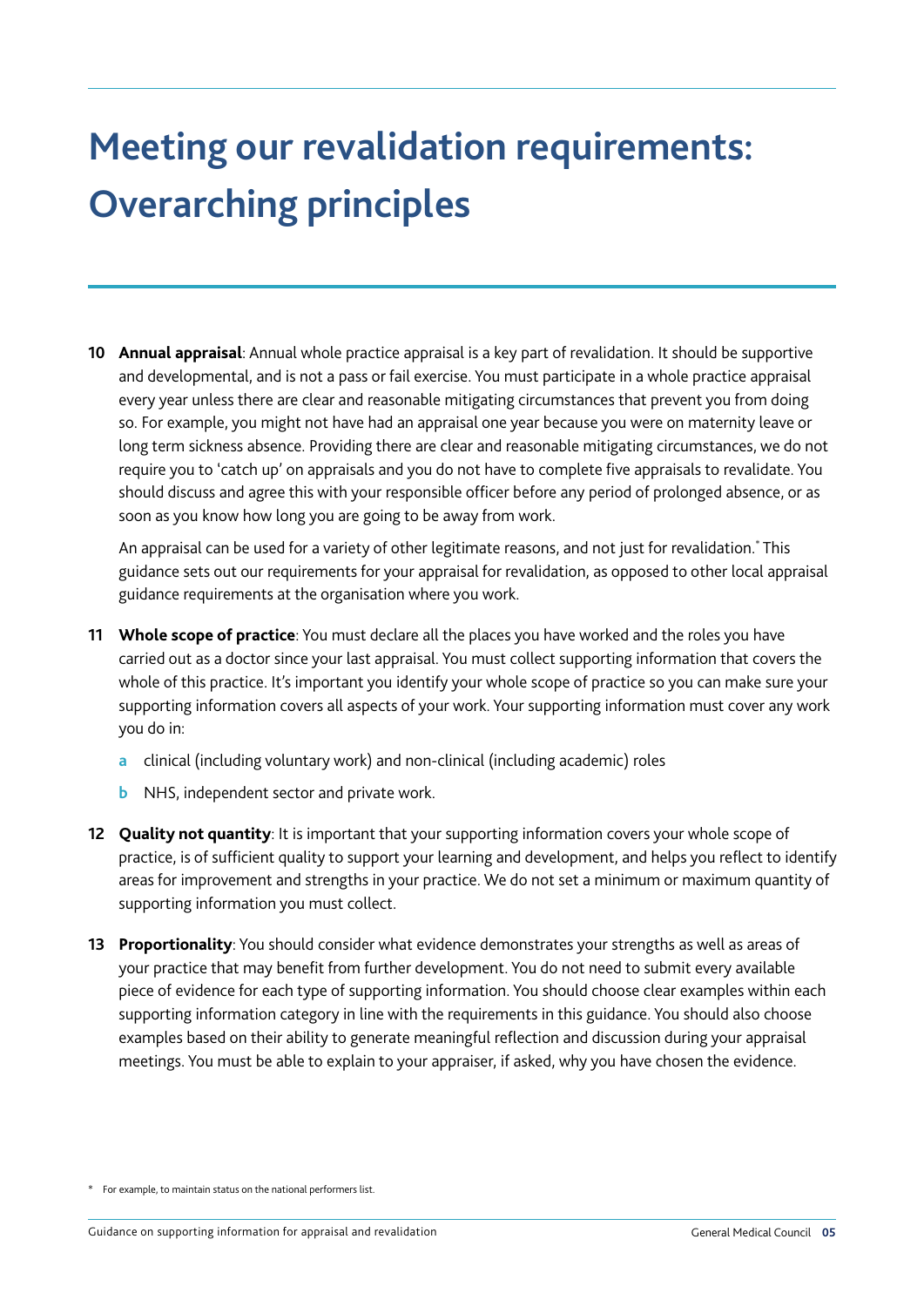# **Meeting our revalidation requirements: Overarching principles**

**10 Annual appraisal**: Annual whole practice appraisal is a key part of revalidation. It should be supportive and developmental, and is not a pass or fail exercise. You must participate in a whole practice appraisal every year unless there are clear and reasonable mitigating circumstances that prevent you from doing so. For example, you might not have had an appraisal one year because you were on maternity leave or long term sickness absence. Providing there are clear and reasonable mitigating circumstances, we do not require you to 'catch up' on appraisals and you do not have to complete five appraisals to revalidate. You should discuss and agree this with your responsible officer before any period of prolonged absence, or as soon as you know how long you are going to be away from work.

An appraisal can be used for a variety of other legitimate reasons, and not just for revalidation.\* This guidance sets out our requirements for your appraisal for revalidation, as opposed to other local appraisal guidance requirements at the organisation where you work.

- **11 Whole scope of practice**: You must declare all the places you have worked and the roles you have carried out as a doctor since your last appraisal. You must collect supporting information that covers the whole of this practice. It's important you identify your whole scope of practice so you can make sure your supporting information covers all aspects of your work. Your supporting information must cover any work you do in:
	- **a** clinical (including voluntary work) and non-clinical (including academic) roles
	- **b** NHS, independent sector and private work.
- **12 Quality not quantity**: It is important that your supporting information covers your whole scope of practice, is of sufficient quality to support your learning and development, and helps you reflect to identify areas for improvement and strengths in your practice. We do not set a minimum or maximum quantity of supporting information you must collect.
- **13 Proportionality**: You should consider what evidence demonstrates your strengths as well as areas of your practice that may benefit from further development. You do not need to submit every available piece of evidence for each type of supporting information. You should choose clear examples within each supporting information category in line with the requirements in this guidance. You should also choose examples based on their ability to generate meaningful reflection and discussion during your appraisal meetings. You must be able to explain to your appraiser, if asked, why you have chosen the evidence.

<sup>\*</sup> For example, to maintain status on the national performers list.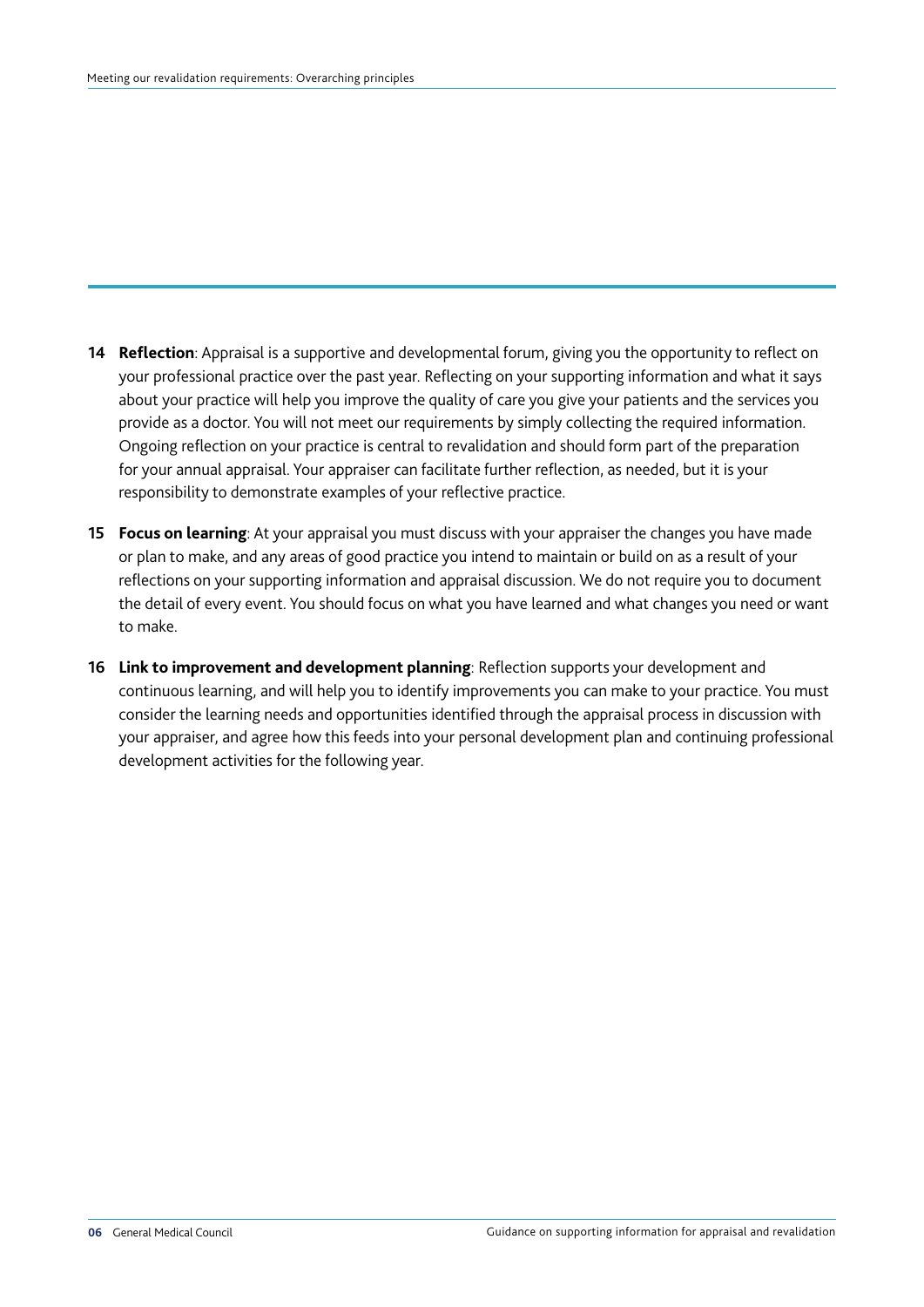- **14 Reflection**: Appraisal is a supportive and developmental forum, giving you the opportunity to reflect on your professional practice over the past year. Reflecting on your supporting information and what it says about your practice will help you improve the quality of care you give your patients and the services you provide as a doctor. You will not meet our requirements by simply collecting the required information. Ongoing reflection on your practice is central to revalidation and should form part of the preparation for your annual appraisal. Your appraiser can facilitate further reflection, as needed, but it is your responsibility to demonstrate examples of your reflective practice.
- **15 Focus on learning**: At your appraisal you must discuss with your appraiser the changes you have made or plan to make, and any areas of good practice you intend to maintain or build on as a result of your reflections on your supporting information and appraisal discussion. We do not require you to document the detail of every event. You should focus on what you have learned and what changes you need or want to make.
- **16 Link to improvement and development planning**: Reflection supports your development and continuous learning, and will help you to identify improvements you can make to your practice. You must consider the learning needs and opportunities identified through the appraisal process in discussion with your appraiser, and agree how this feeds into your personal development plan and continuing professional development activities for the following year.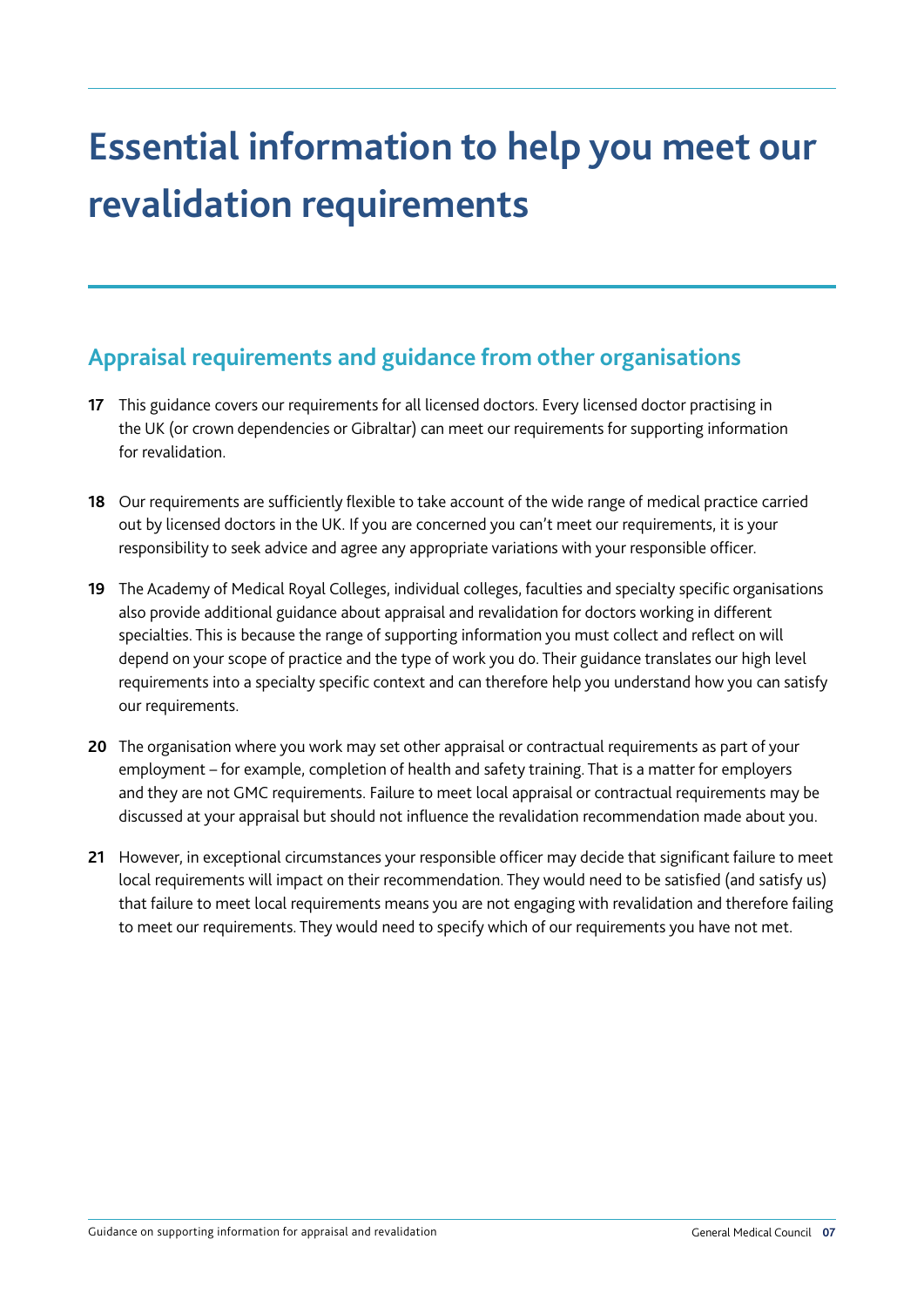# **Essential information to help you meet our revalidation requirements**

## **Appraisal requirements and guidance from other organisations**

- **17** This guidance covers our requirements for all licensed doctors. Every licensed doctor practising in the UK (or crown dependencies or Gibraltar) can meet our requirements for supporting information for revalidation.
- **18** Our requirements are sufficiently flexible to take account of the wide range of medical practice carried out by licensed doctors in the UK. If you are concerned you can't meet our requirements, it is your responsibility to seek advice and agree any appropriate variations with your responsible officer.
- **19** The Academy of Medical Royal Colleges, individual colleges, faculties and specialty specific organisations also provide additional guidance about appraisal and revalidation for doctors working in different specialties. This is because the range of supporting information you must collect and reflect on will depend on your scope of practice and the type of work you do. Their guidance translates our high level requirements into a specialty specific context and can therefore help you understand how you can satisfy our requirements.
- **20** The organisation where you work may set other appraisal or contractual requirements as part of your employment – for example, completion of health and safety training. That is a matter for employers and they are not GMC requirements. Failure to meet local appraisal or contractual requirements may be discussed at your appraisal but should not influence the revalidation recommendation made about you.
- **21** However, in exceptional circumstances your responsible officer may decide that significant failure to meet local requirements will impact on their recommendation. They would need to be satisfied (and satisfy us) that failure to meet local requirements means you are not engaging with revalidation and therefore failing to meet our requirements. They would need to specify which of our requirements you have not met.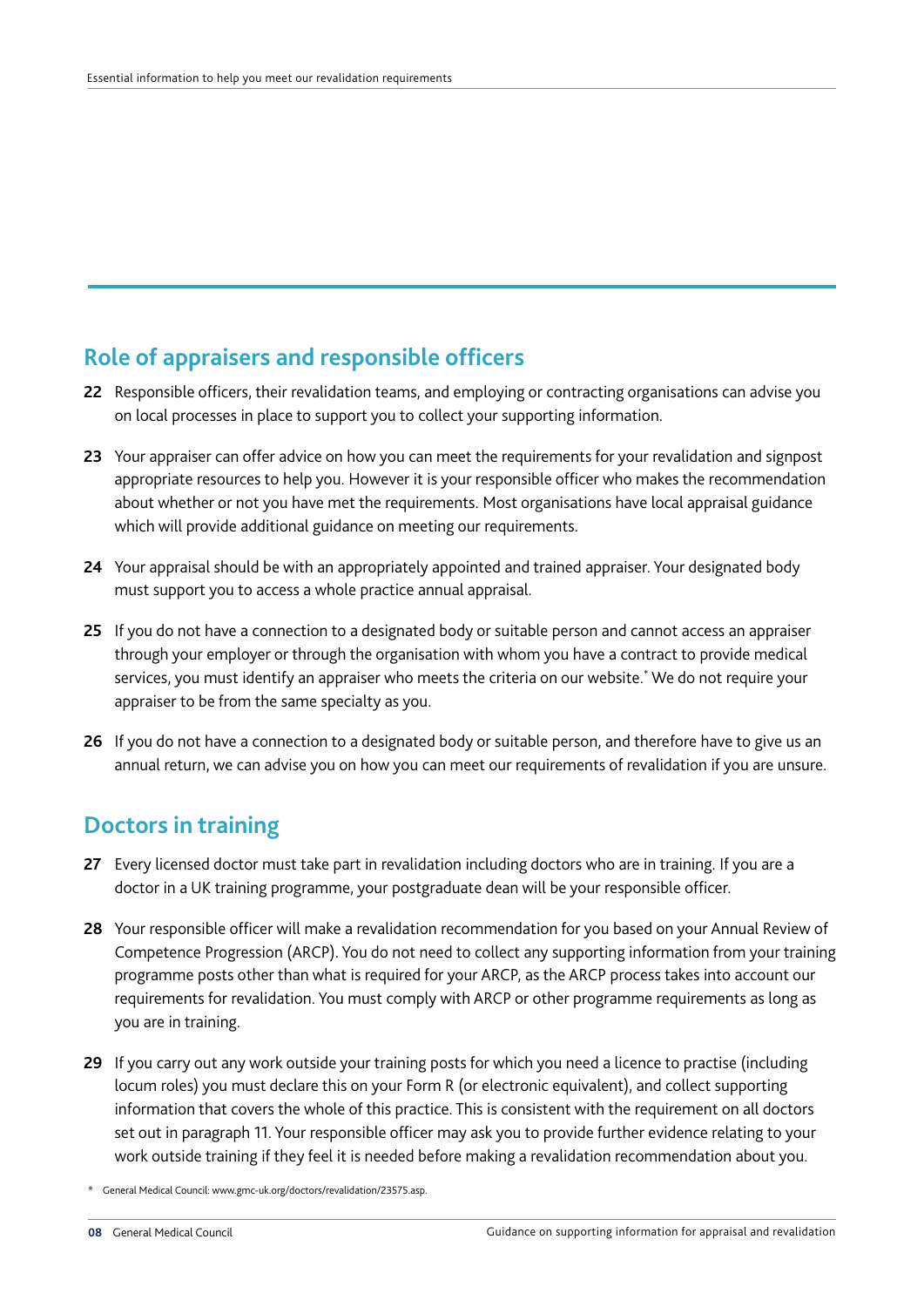## **Role of appraisers and responsible officers**

- **22** Responsible officers, their revalidation teams, and employing or contracting organisations can advise you on local processes in place to support you to collect your supporting information.
- **23** Your appraiser can offer advice on how you can meet the requirements for your revalidation and signpost appropriate resources to help you. However it is your responsible officer who makes the recommendation about whether or not you have met the requirements. Most organisations have local appraisal guidance which will provide additional guidance on meeting our requirements.
- **24** Your appraisal should be with an appropriately appointed and trained appraiser. Your designated body must support you to access a whole practice annual appraisal.
- **25** If you do not have a connection to a designated body or suitable person and cannot access an appraiser through your employer or through the organisation with whom you have a contract to provide medical services, you must identify an appraiser who meets the criteria on our website.\* We do not require your appraiser to be from the same specialty as you.
- **26** If you do not have a connection to a designated body or suitable person, and therefore have to give us an annual return, we can advise you on how you can meet our requirements of revalidation if you are unsure.

#### **Doctors in training**

- **27** Every licensed doctor must take part in revalidation including doctors who are in training. If you are a doctor in a UK training programme, your postgraduate dean will be your responsible officer.
- **28** Your responsible officer will make a revalidation recommendation for you based on your Annual Review of Competence Progression (ARCP). You do not need to collect any supporting information from your training programme posts other than what is required for your ARCP, as the ARCP process takes into account our requirements for revalidation. You must comply with ARCP or other programme requirements as long as you are in training.
- **29** If you carry out any work outside your training posts for which you need a licence to practise (including locum roles) you must declare this on your Form R (or electronic equivalent), and collect supporting information that covers the whole of this practice. This is consistent with the requirement on all doctors set out in paragraph 11. Your responsible officer may ask you to provide further evidence relating to your work outside training if they feel it is needed before making a revalidation recommendation about you.

<sup>\*</sup> General Medical Council: www.gmc-uk.org/doctors/revalidation/23575.asp.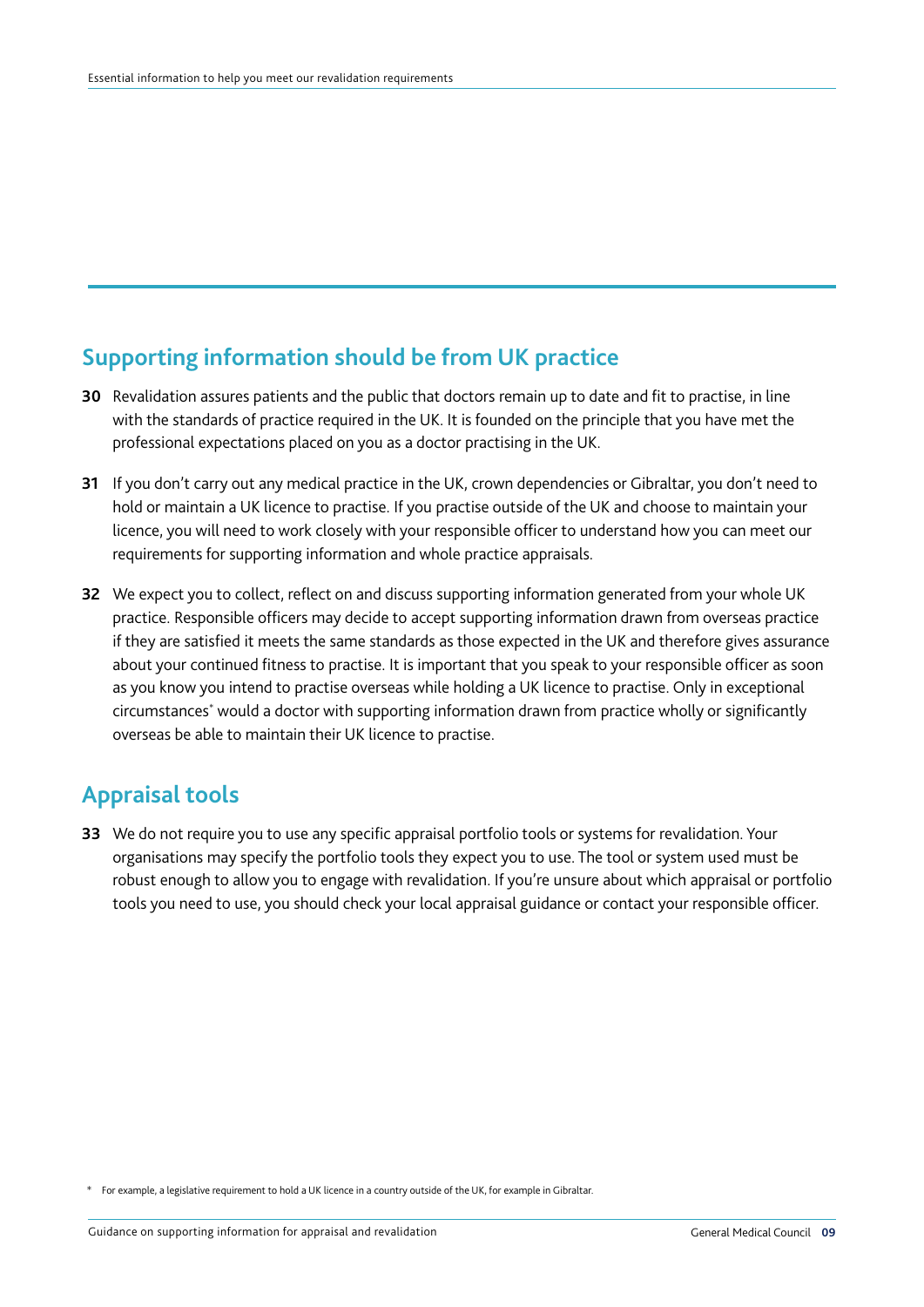# **Supporting information should be from UK practice**

- **30** Revalidation assures patients and the public that doctors remain up to date and fit to practise, in line with the standards of practice required in the UK. It is founded on the principle that you have met the professional expectations placed on you as a doctor practising in the UK.
- **31** If you don't carry out any medical practice in the UK, crown dependencies or Gibraltar, you don't need to hold or maintain a UK licence to practise. If you practise outside of the UK and choose to maintain your licence, you will need to work closely with your responsible officer to understand how you can meet our requirements for supporting information and whole practice appraisals.
- **32** We expect you to collect, reflect on and discuss supporting information generated from your whole UK practice. Responsible officers may decide to accept supporting information drawn from overseas practice if they are satisfied it meets the same standards as those expected in the UK and therefore gives assurance about your continued fitness to practise. It is important that you speak to your responsible officer as soon as you know you intend to practise overseas while holding a UK licence to practise. Only in exceptional circumstances\* would a doctor with supporting information drawn from practice wholly or significantly overseas be able to maintain their UK licence to practise.

## **Appraisal tools**

**33** We do not require you to use any specific appraisal portfolio tools or systems for revalidation. Your organisations may specify the portfolio tools they expect you to use. The tool or system used must be robust enough to allow you to engage with revalidation. If you're unsure about which appraisal or portfolio tools you need to use, you should check your local appraisal guidance or contact your responsible officer.

\* For example, a legislative requirement to hold a UK licence in a country outside of the UK, for example in Gibraltar.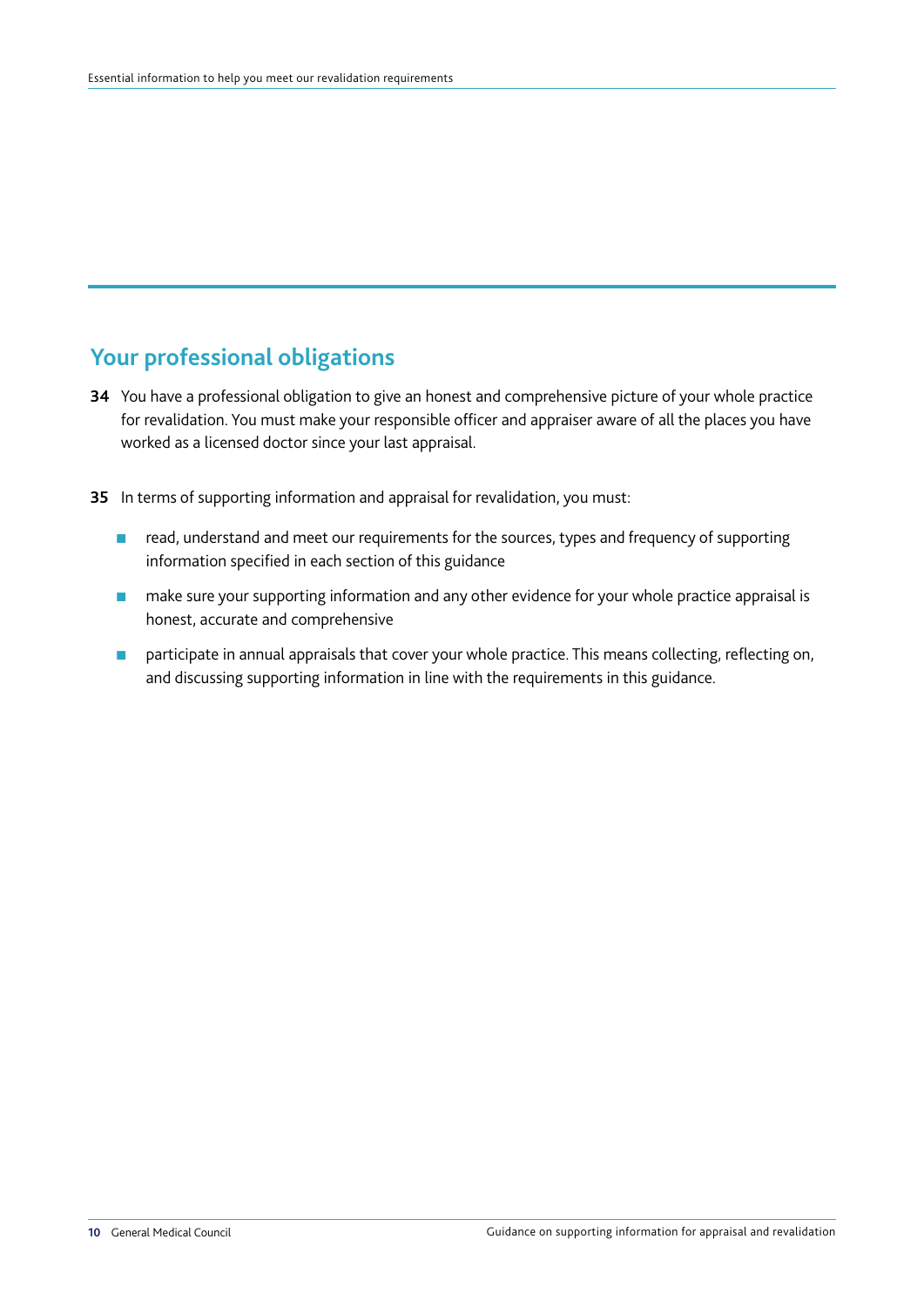#### **Your professional obligations**

- **34** You have a professional obligation to give an honest and comprehensive picture of your whole practice for revalidation. You must make your responsible officer and appraiser aware of all the places you have worked as a licensed doctor since your last appraisal.
- **35** In terms of supporting information and appraisal for revalidation, you must:
	- read, understand and meet our requirements for the sources, types and frequency of supporting information specified in each section of this guidance
	- make sure your supporting information and any other evidence for your whole practice appraisal is honest, accurate and comprehensive
	- participate in annual appraisals that cover your whole practice. This means collecting, reflecting on, and discussing supporting information in line with the requirements in this guidance.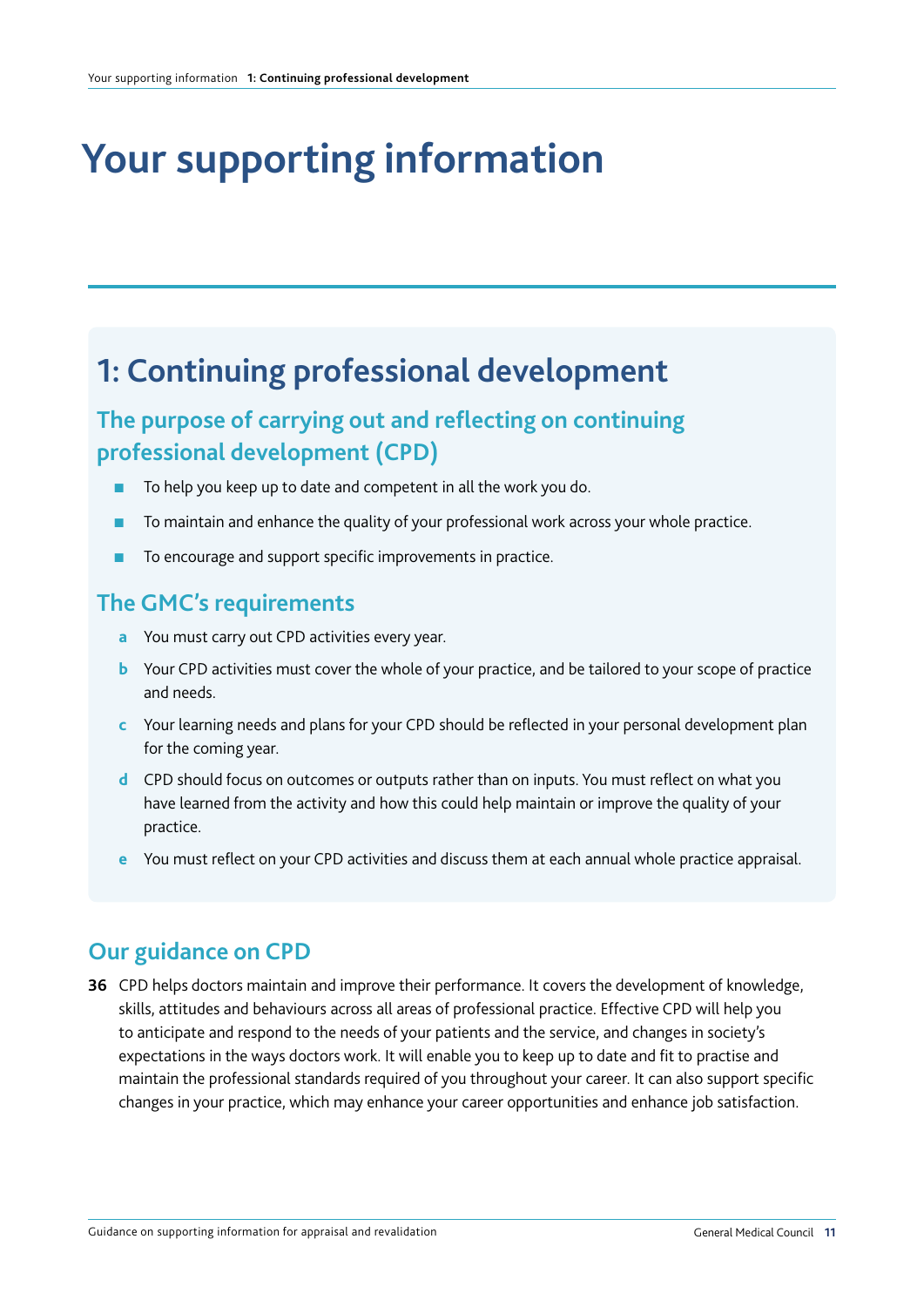# **Your supporting information**

# **1: Continuing professional development**

# **The purpose of carrying out and reflecting on continuing professional development (CPD)**

- To help you keep up to date and competent in all the work you do.
- To maintain and enhance the quality of your professional work across your whole practice.
- To encourage and support specific improvements in practice.

#### **The GMC's requirements**

- **a** You must carry out CPD activities every year.
- **b** Your CPD activities must cover the whole of your practice, and be tailored to your scope of practice and needs.
- **c** Your learning needs and plans for your CPD should be reflected in your personal development plan for the coming year.
- **d** CPD should focus on outcomes or outputs rather than on inputs. You must reflect on what you have learned from the activity and how this could help maintain or improve the quality of your practice.
- **e** You must reflect on your CPD activities and discuss them at each annual whole practice appraisal.

## **Our guidance on CPD**

**36** CPD helps doctors maintain and improve their performance. It covers the development of knowledge, skills, attitudes and behaviours across all areas of professional practice. Effective CPD will help you to anticipate and respond to the needs of your patients and the service, and changes in society's expectations in the ways doctors work. It will enable you to keep up to date and fit to practise and maintain the professional standards required of you throughout your career. It can also support specific changes in your practice, which may enhance your career opportunities and enhance job satisfaction.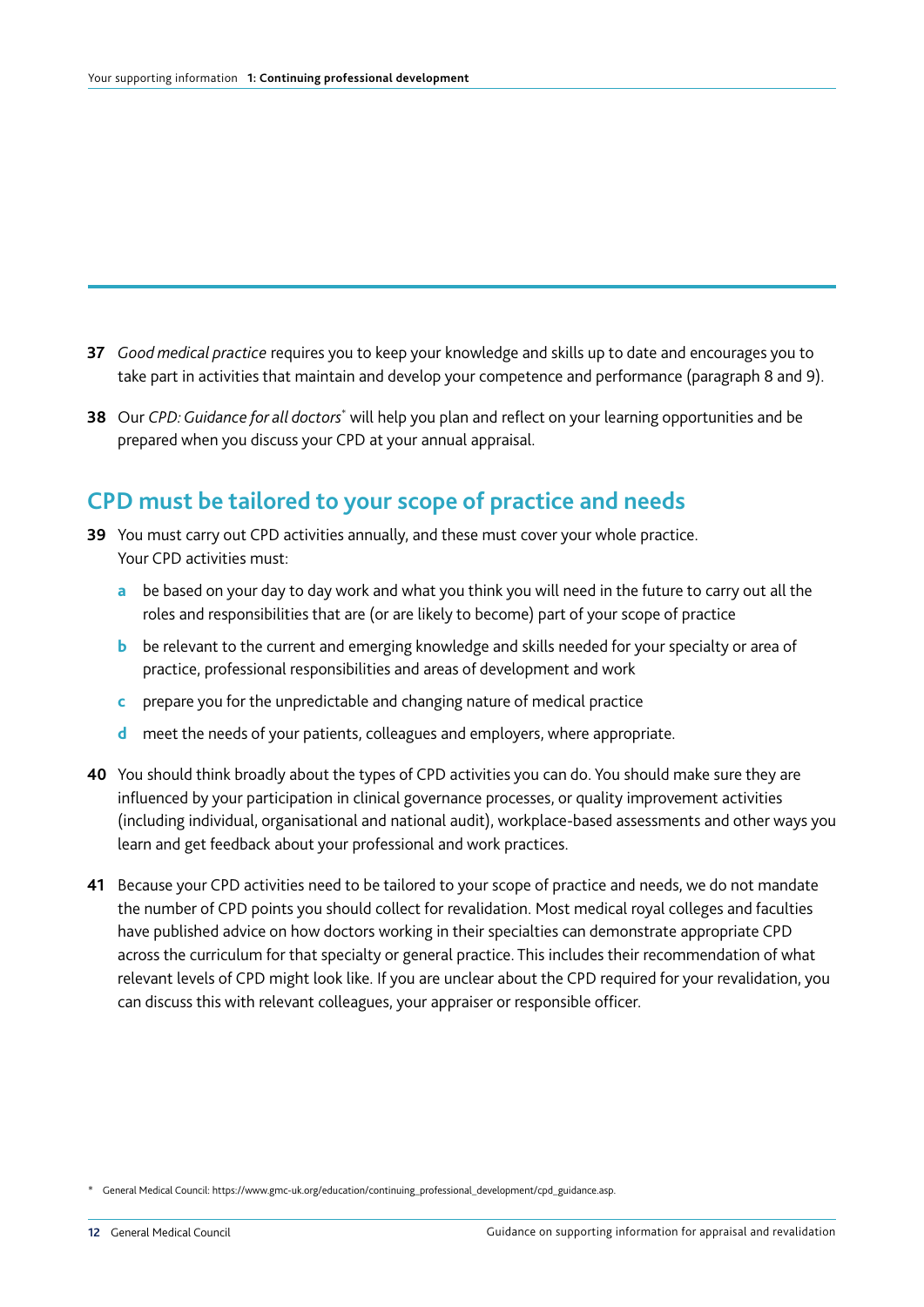- **37** *Good medical practice* requires you to keep your knowledge and skills up to date and encourages you to take part in activities that maintain and develop your competence and performance (paragraph 8 and 9).
- **38** Our *CPD: Guidance for all doctors*<sup>\*</sup> will help you plan and reflect on your learning opportunities and be prepared when you discuss your CPD at your annual appraisal.

#### **CPD must be tailored to your scope of practice and needs**

- **39** You must carry out CPD activities annually, and these must cover your whole practice. Your CPD activities must:
	- **a** be based on your day to day work and what you think you will need in the future to carry out all the roles and responsibilities that are (or are likely to become) part of your scope of practice
	- **b** be relevant to the current and emerging knowledge and skills needed for your specialty or area of practice, professional responsibilities and areas of development and work
	- **c** prepare you for the unpredictable and changing nature of medical practice
	- **d** meet the needs of your patients, colleagues and employers, where appropriate.
- **40** You should think broadly about the types of CPD activities you can do. You should make sure they are influenced by your participation in clinical governance processes, or quality improvement activities (including individual, organisational and national audit), workplace-based assessments and other ways you learn and get feedback about your professional and work practices.
- **41** Because your CPD activities need to be tailored to your scope of practice and needs, we do not mandate the number of CPD points you should collect for revalidation. Most medical royal colleges and faculties have published advice on how doctors working in their specialties can demonstrate appropriate CPD across the curriculum for that specialty or general practice. This includes their recommendation of what relevant levels of CPD might look like. If you are unclear about the CPD required for your revalidation, you can discuss this with relevant colleagues, your appraiser or responsible officer.

<sup>\*</sup> General Medical Council: https://www.gmc-uk.org/education/continuing\_professional\_development/cpd\_guidance.asp.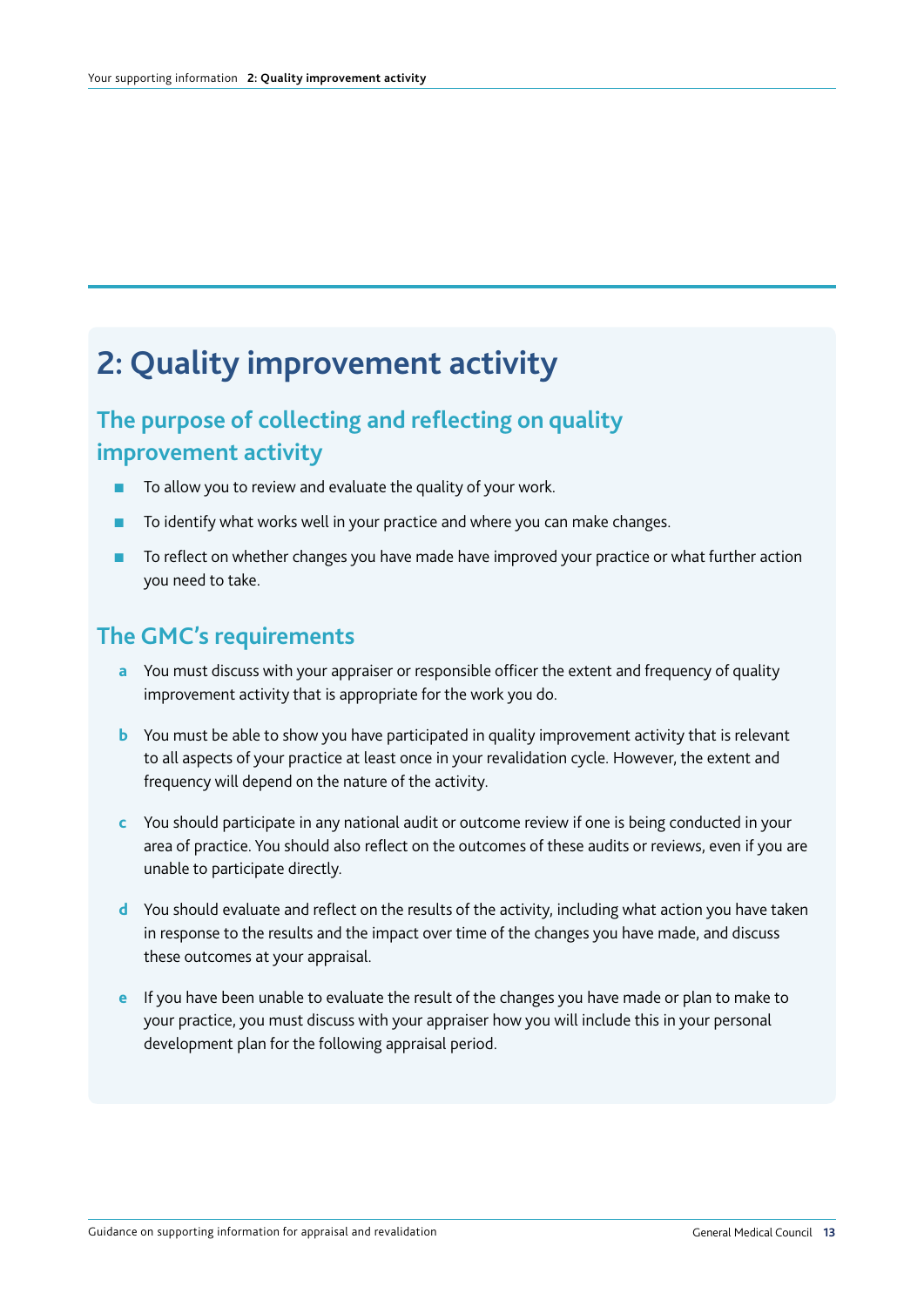# **2: Quality improvement activity**

# **The purpose of collecting and reflecting on quality improvement activity**

- To allow you to review and evaluate the quality of your work.
- To identify what works well in your practice and where you can make changes.
- To reflect on whether changes you have made have improved your practice or what further action you need to take.

#### **The GMC's requirements**

- **a** You must discuss with your appraiser or responsible officer the extent and frequency of quality improvement activity that is appropriate for the work you do.
- **b** You must be able to show you have participated in quality improvement activity that is relevant to all aspects of your practice at least once in your revalidation cycle. However, the extent and frequency will depend on the nature of the activity.
- **c** You should participate in any national audit or outcome review if one is being conducted in your area of practice. You should also reflect on the outcomes of these audits or reviews, even if you are unable to participate directly.
- **d** You should evaluate and reflect on the results of the activity, including what action you have taken in response to the results and the impact over time of the changes you have made, and discuss these outcomes at your appraisal.
- **e** If you have been unable to evaluate the result of the changes you have made or plan to make to your practice, you must discuss with your appraiser how you will include this in your personal development plan for the following appraisal period.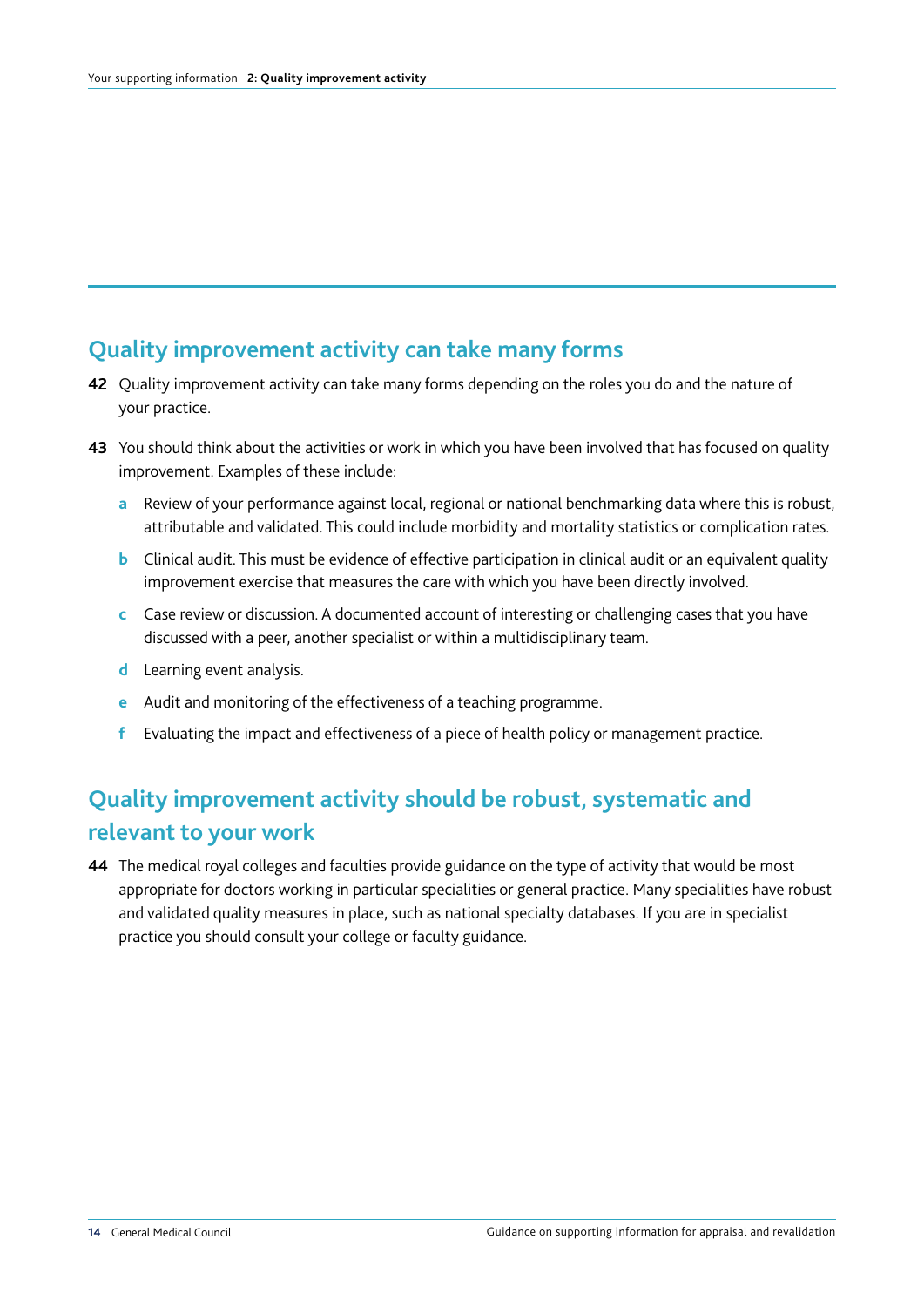#### **Quality improvement activity can take many forms**

- **42** Quality improvement activity can take many forms depending on the roles you do and the nature of your practice.
- **43** You should think about the activities or work in which you have been involved that has focused on quality improvement. Examples of these include:
	- **a** Review of your performance against local, regional or national benchmarking data where this is robust, attributable and validated. This could include morbidity and mortality statistics or complication rates.
	- **b** Clinical audit. This must be evidence of effective participation in clinical audit or an equivalent quality improvement exercise that measures the care with which you have been directly involved.
	- **c** Case review or discussion. A documented account of interesting or challenging cases that you have discussed with a peer, another specialist or within a multidisciplinary team.
	- **d** Learning event analysis.
	- **e** Audit and monitoring of the effectiveness of a teaching programme.
	- **f** Evaluating the impact and effectiveness of a piece of health policy or management practice.

## **Quality improvement activity should be robust, systematic and relevant to your work**

**44** The medical royal colleges and faculties provide guidance on the type of activity that would be most appropriate for doctors working in particular specialities or general practice. Many specialities have robust and validated quality measures in place, such as national specialty databases. If you are in specialist practice you should consult your college or faculty guidance.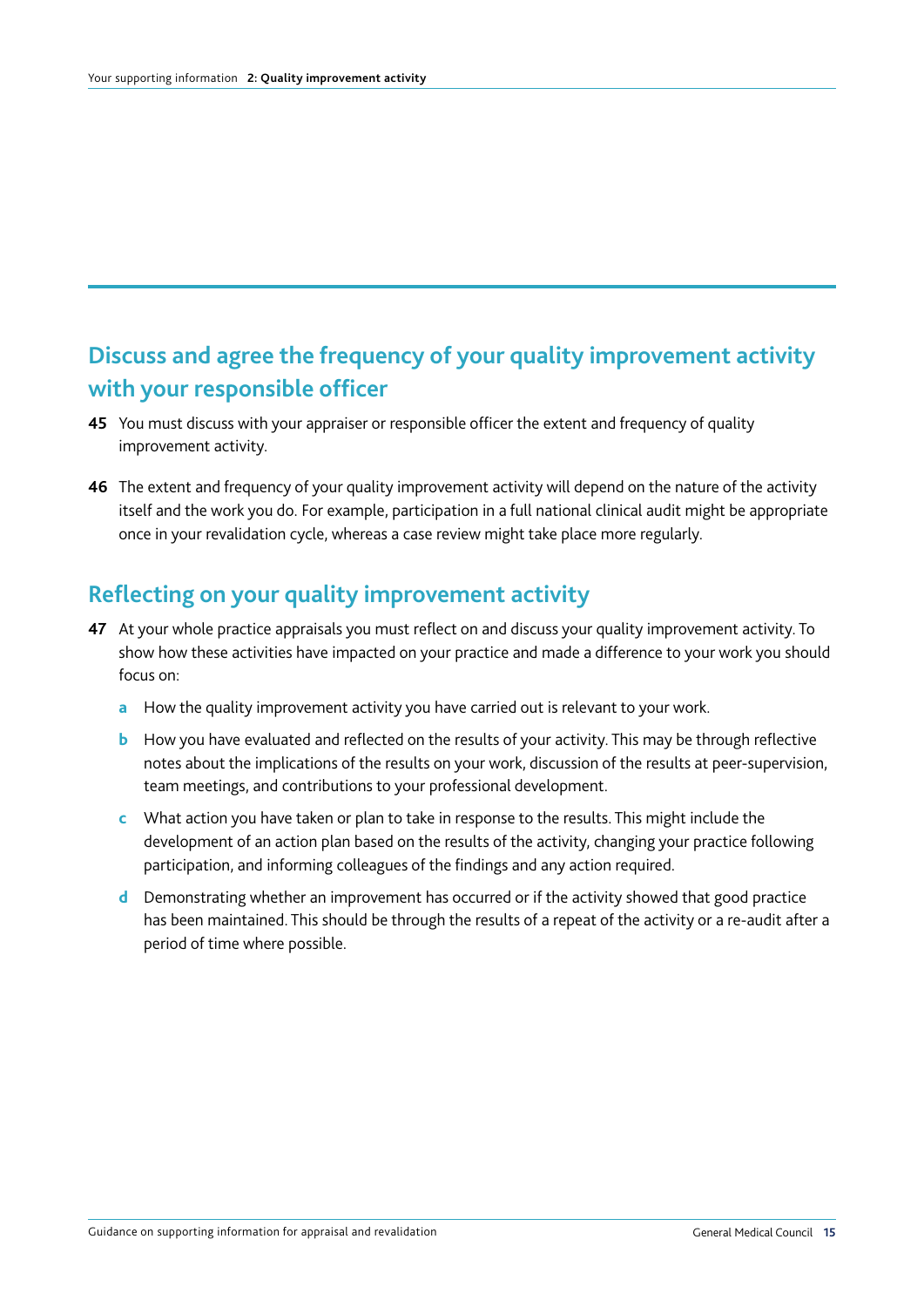## **Discuss and agree the frequency of your quality improvement activity with your responsible officer**

- **45** You must discuss with your appraiser or responsible officer the extent and frequency of quality improvement activity.
- **46** The extent and frequency of your quality improvement activity will depend on the nature of the activity itself and the work you do. For example, participation in a full national clinical audit might be appropriate once in your revalidation cycle, whereas a case review might take place more regularly.

#### **Reflecting on your quality improvement activity**

- **47** At your whole practice appraisals you must reflect on and discuss your quality improvement activity. To show how these activities have impacted on your practice and made a difference to your work you should focus on:
	- **a** How the quality improvement activity you have carried out is relevant to your work.
	- **b** How you have evaluated and reflected on the results of your activity. This may be through reflective notes about the implications of the results on your work, discussion of the results at peer-supervision, team meetings, and contributions to your professional development.
	- **c** What action you have taken or plan to take in response to the results. This might include the development of an action plan based on the results of the activity, changing your practice following participation, and informing colleagues of the findings and any action required.
	- **d** Demonstrating whether an improvement has occurred or if the activity showed that good practice has been maintained. This should be through the results of a repeat of the activity or a re-audit after a period of time where possible.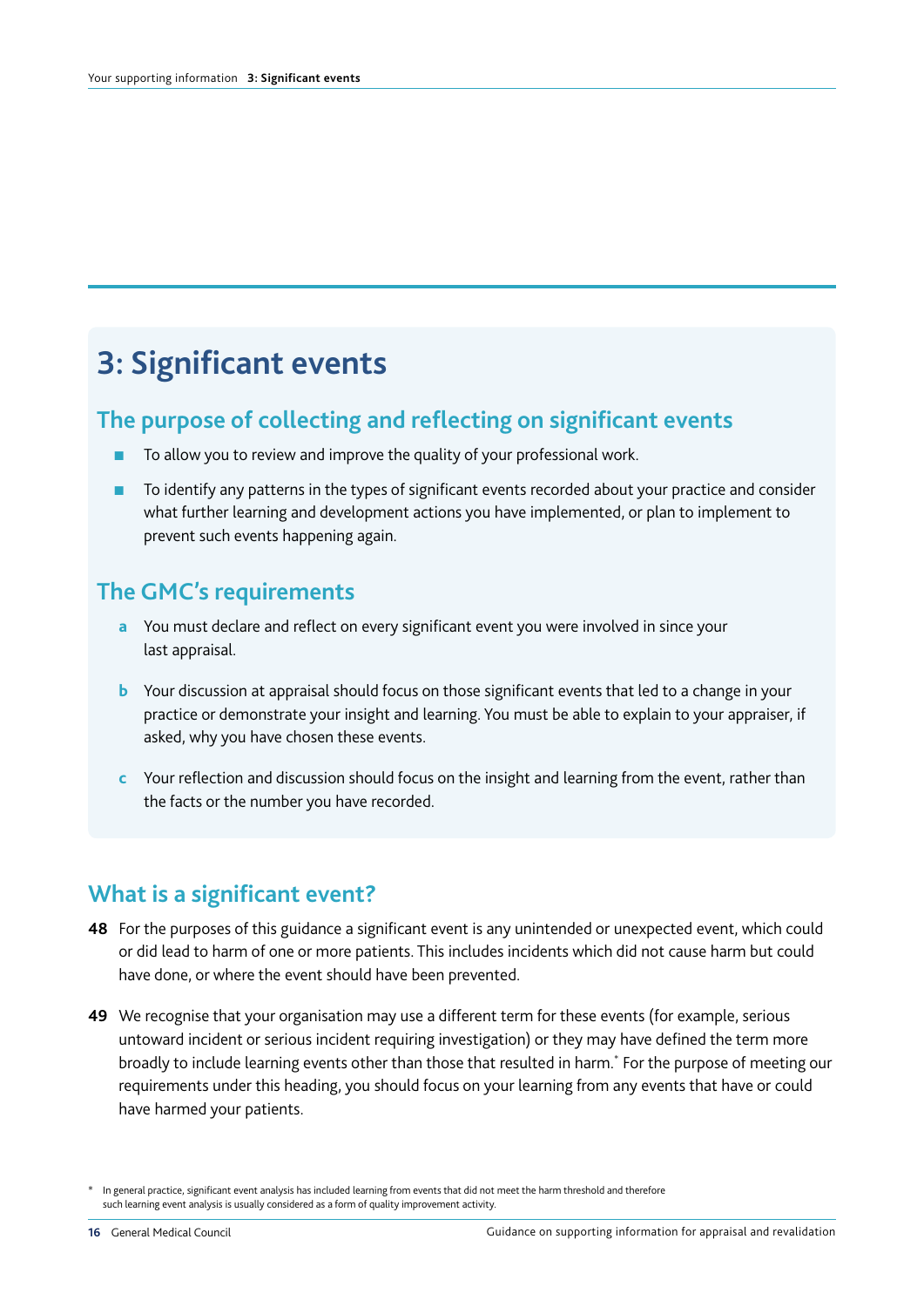# **3: Significant events**

#### **The purpose of collecting and reflecting on significant events**

- To allow you to review and improve the quality of your professional work.
- To identify any patterns in the types of significant events recorded about your practice and consider what further learning and development actions you have implemented, or plan to implement to prevent such events happening again.

#### **The GMC's requirements**

- **a** You must declare and reflect on every significant event you were involved in since your last appraisal.
- **b** Your discussion at appraisal should focus on those significant events that led to a change in your practice or demonstrate your insight and learning. You must be able to explain to your appraiser, if asked, why you have chosen these events.
- **c** Your reflection and discussion should focus on the insight and learning from the event, rather than the facts or the number you have recorded.

#### **What is a significant event?**

- **48** For the purposes of this guidance a significant event is any unintended or unexpected event, which could or did lead to harm of one or more patients. This includes incidents which did not cause harm but could have done, or where the event should have been prevented.
- **49** We recognise that your organisation may use a different term for these events (for example, serious untoward incident or serious incident requiring investigation) or they may have defined the term more broadly to include learning events other than those that resulted in harm.\* For the purpose of meeting our requirements under this heading, you should focus on your learning from any events that have or could have harmed your patients.

In general practice, significant event analysis has included learning from events that did not meet the harm threshold and therefore such learning event analysis is usually considered as a form of quality improvement activity.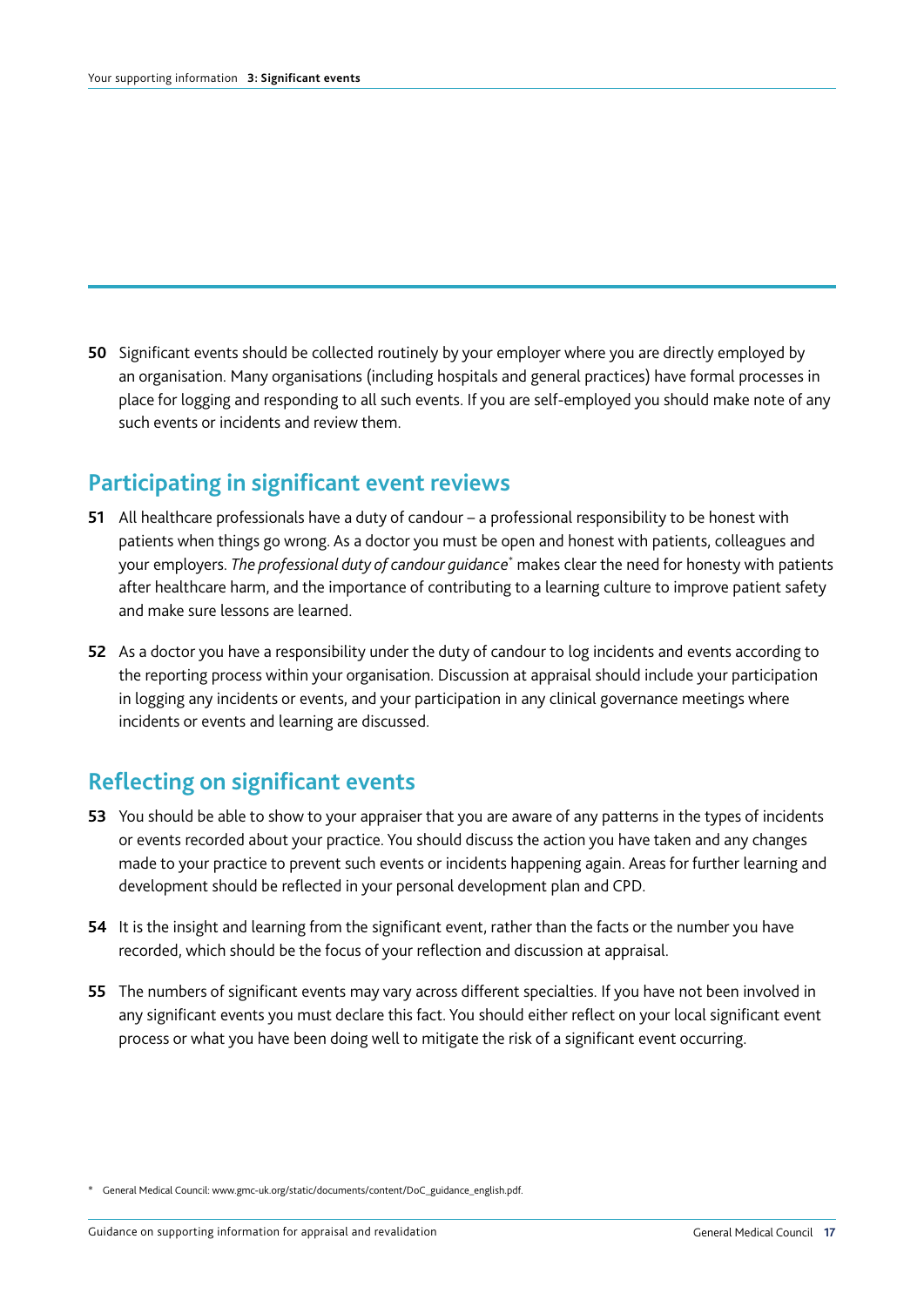**50** Significant events should be collected routinely by your employer where you are directly employed by an organisation. Many organisations (including hospitals and general practices) have formal processes in place for logging and responding to all such events. If you are self-employed you should make note of any such events or incidents and review them.

#### **Participating in significant event reviews**

- **51** All healthcare professionals have a duty of candour a professional responsibility to be honest with patients when things go wrong. As a doctor you must be open and honest with patients, colleagues and your employers. *The professional duty of candour guidance*\* makes clear the need for honesty with patients after healthcare harm, and the importance of contributing to a learning culture to improve patient safety and make sure lessons are learned.
- **52** As a doctor you have a responsibility under the duty of candour to log incidents and events according to the reporting process within your organisation. Discussion at appraisal should include your participation in logging any incidents or events, and your participation in any clinical governance meetings where incidents or events and learning are discussed.

#### **Reflecting on significant events**

- **53** You should be able to show to your appraiser that you are aware of any patterns in the types of incidents or events recorded about your practice. You should discuss the action you have taken and any changes made to your practice to prevent such events or incidents happening again. Areas for further learning and development should be reflected in your personal development plan and CPD.
- **54** It is the insight and learning from the significant event, rather than the facts or the number you have recorded, which should be the focus of your reflection and discussion at appraisal.
- **55** The numbers of significant events may vary across different specialties. If you have not been involved in any significant events you must declare this fact. You should either reflect on your local significant event process or what you have been doing well to mitigate the risk of a significant event occurring.

<sup>\*</sup> General Medical Council: www.gmc-uk.org/static/documents/content/DoC\_guidance\_english.pdf.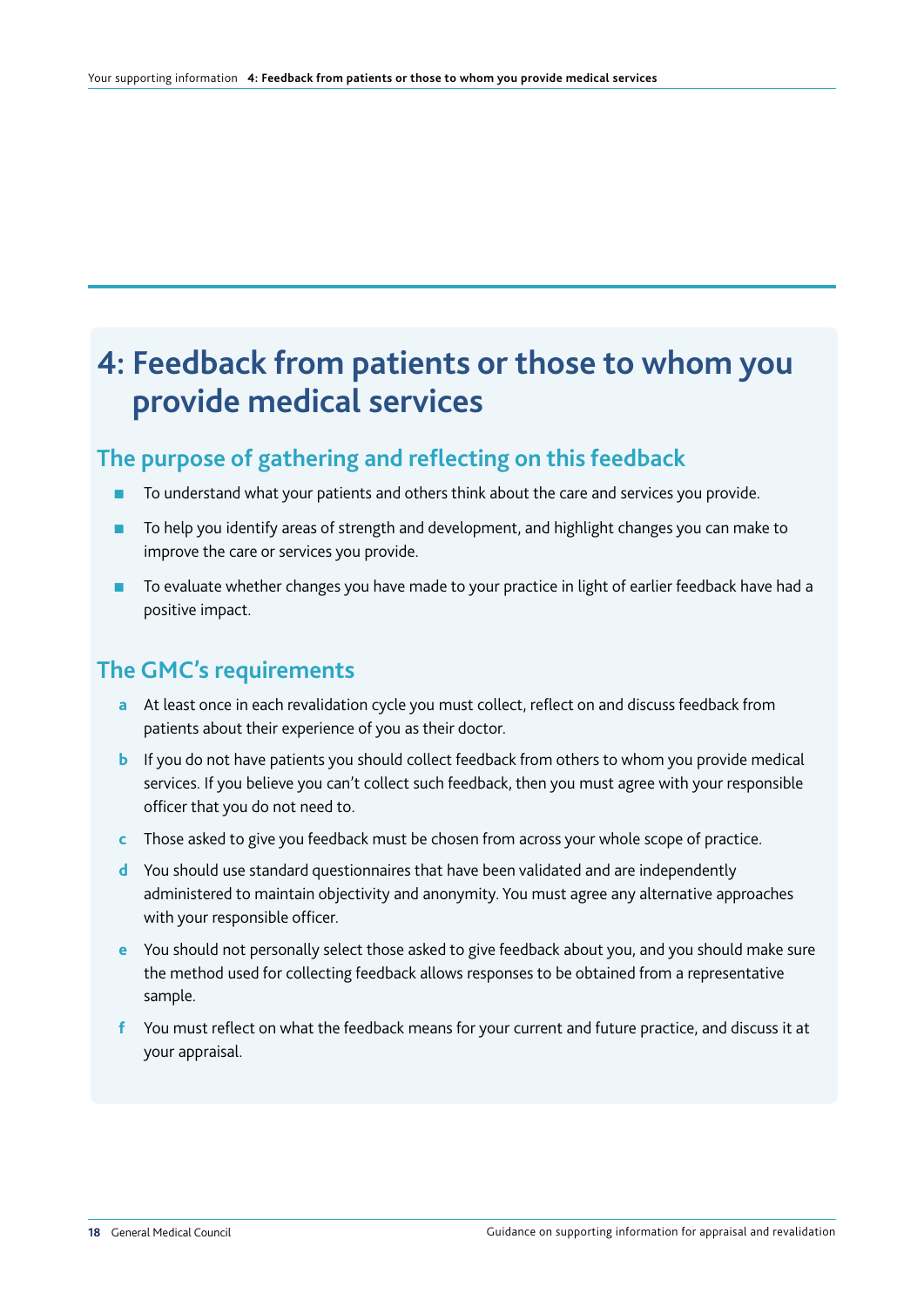# **4: Feedback from patients or those to whom you provide medical services**

#### **The purpose of gathering and reflecting on this feedback**

- To understand what your patients and others think about the care and services you provide.
- To help you identify areas of strength and development, and highlight changes you can make to improve the care or services you provide.
- To evaluate whether changes you have made to your practice in light of earlier feedback have had a positive impact.

#### **The GMC's requirements**

- **a** At least once in each revalidation cycle you must collect, reflect on and discuss feedback from patients about their experience of you as their doctor.
- **b** If you do not have patients you should collect feedback from others to whom you provide medical services. If you believe you can't collect such feedback, then you must agree with your responsible officer that you do not need to.
- **c** Those asked to give you feedback must be chosen from across your whole scope of practice.
- **d** You should use standard questionnaires that have been validated and are independently administered to maintain objectivity and anonymity. You must agree any alternative approaches with your responsible officer.
- **e** You should not personally select those asked to give feedback about you, and you should make sure the method used for collecting feedback allows responses to be obtained from a representative sample.
- **f** You must reflect on what the feedback means for your current and future practice, and discuss it at your appraisal.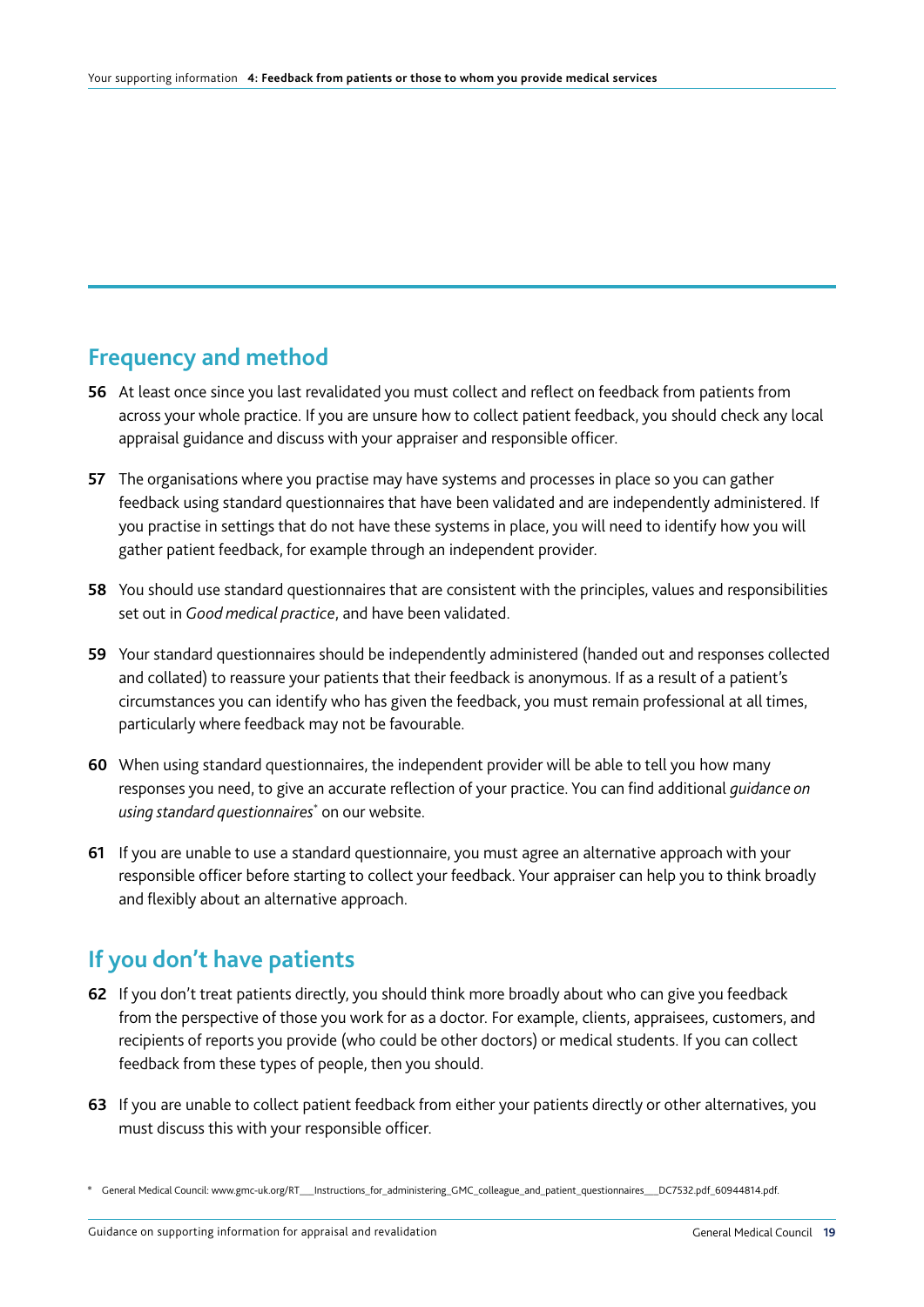## **Frequency and method**

- **56** At least once since you last revalidated you must collect and reflect on feedback from patients from across your whole practice. If you are unsure how to collect patient feedback, you should check any local appraisal guidance and discuss with your appraiser and responsible officer.
- **57** The organisations where you practise may have systems and processes in place so you can gather feedback using standard questionnaires that have been validated and are independently administered. If you practise in settings that do not have these systems in place, you will need to identify how you will gather patient feedback, for example through an independent provider.
- **58** You should use standard questionnaires that are consistent with the principles, values and responsibilities set out in *Good medical practice*, and have been validated.
- **59** Your standard questionnaires should be independently administered (handed out and responses collected and collated) to reassure your patients that their feedback is anonymous. If as a result of a patient's circumstances you can identify who has given the feedback, you must remain professional at all times, particularly where feedback may not be favourable.
- **60** When using standard questionnaires, the independent provider will be able to tell you how many responses you need, to give an accurate reflection of your practice. You can find additional *guidance on using standard questionnaires*\* on our website.
- **61** If you are unable to use a standard questionnaire, you must agree an alternative approach with your responsible officer before starting to collect your feedback. Your appraiser can help you to think broadly and flexibly about an alternative approach.

## **If you don't have patients**

- **62** If you don't treat patients directly, you should think more broadly about who can give you feedback from the perspective of those you work for as a doctor. For example, clients, appraisees, customers, and recipients of reports you provide (who could be other doctors) or medical students. If you can collect feedback from these types of people, then you should.
- **63** If you are unable to collect patient feedback from either your patients directly or other alternatives, you must discuss this with your responsible officer.

<sup>\*</sup> General Medical Council: www.gmc-uk.org/RT\_\_\_Instructions\_for\_administering\_GMC\_colleague\_and\_patient\_questionnaires\_\_\_DC7532.pdf\_60944814.pdf.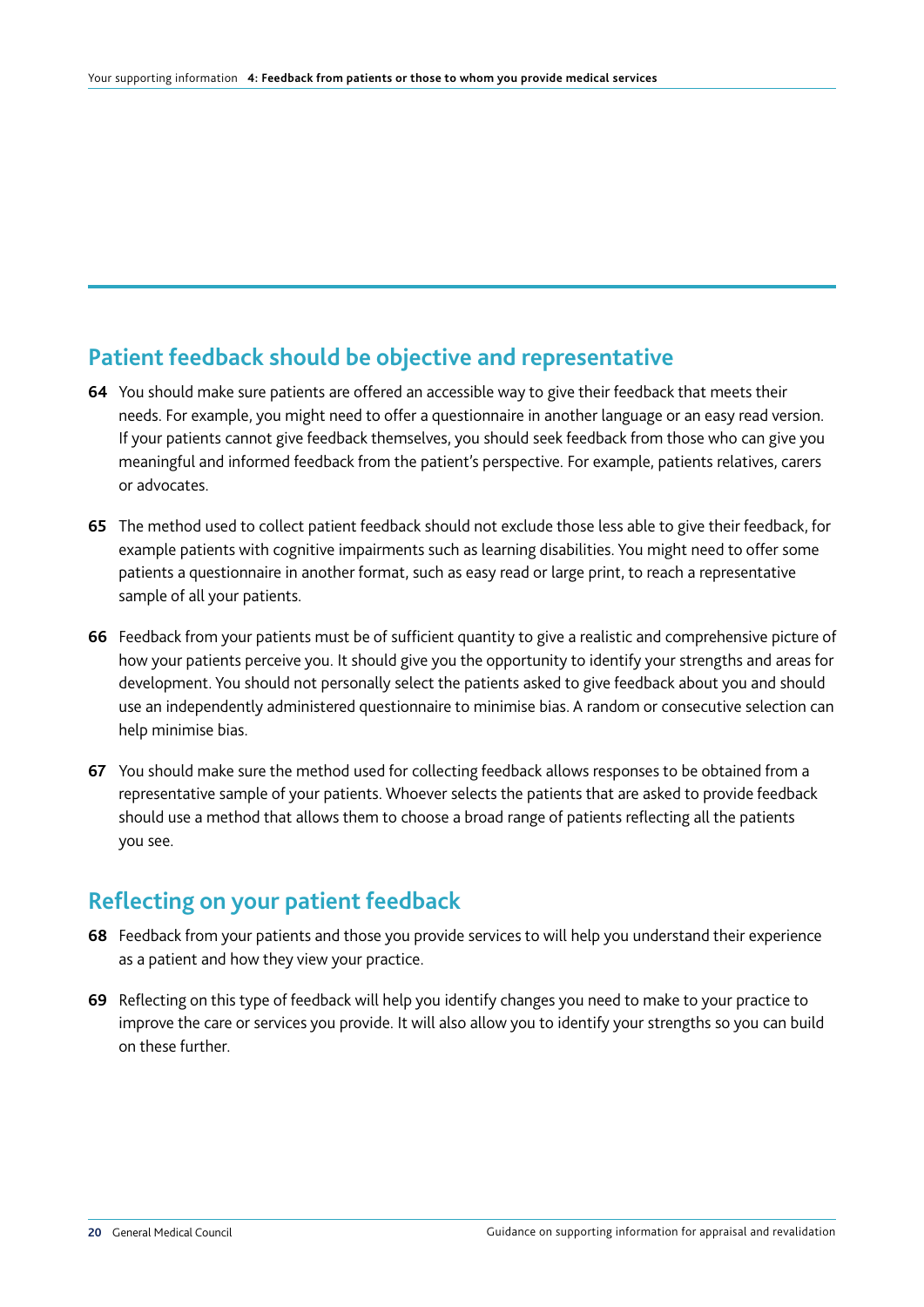#### **Patient feedback should be objective and representative**

- **64** You should make sure patients are offered an accessible way to give their feedback that meets their needs. For example, you might need to offer a questionnaire in another language or an easy read version. If your patients cannot give feedback themselves, you should seek feedback from those who can give you meaningful and informed feedback from the patient's perspective. For example, patients relatives, carers or advocates.
- **65** The method used to collect patient feedback should not exclude those less able to give their feedback, for example patients with cognitive impairments such as learning disabilities. You might need to offer some patients a questionnaire in another format, such as easy read or large print, to reach a representative sample of all your patients.
- **66** Feedback from your patients must be of sufficient quantity to give a realistic and comprehensive picture of how your patients perceive you. It should give you the opportunity to identify your strengths and areas for development. You should not personally select the patients asked to give feedback about you and should use an independently administered questionnaire to minimise bias. A random or consecutive selection can help minimise bias.
- **67** You should make sure the method used for collecting feedback allows responses to be obtained from a representative sample of your patients. Whoever selects the patients that are asked to provide feedback should use a method that allows them to choose a broad range of patients reflecting all the patients you see.

#### **Reflecting on your patient feedback**

- **68** Feedback from your patients and those you provide services to will help you understand their experience as a patient and how they view your practice.
- **69** Reflecting on this type of feedback will help you identify changes you need to make to your practice to improve the care or services you provide. It will also allow you to identify your strengths so you can build on these further.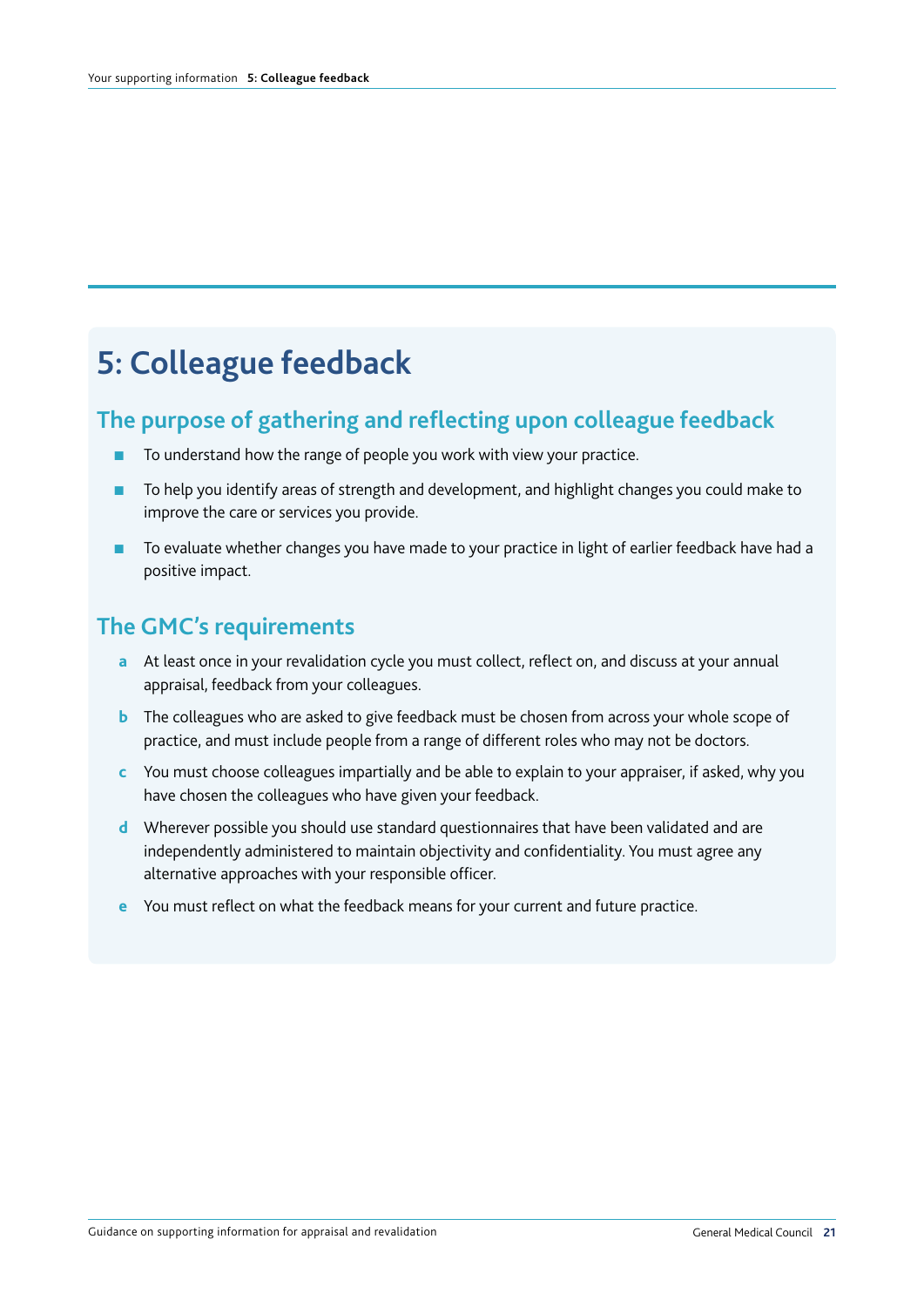# **5: Colleague feedback**

#### **The purpose of gathering and reflecting upon colleague feedback**

- To understand how the range of people you work with view your practice.
- To help you identify areas of strength and development, and highlight changes you could make to improve the care or services you provide.
- To evaluate whether changes you have made to your practice in light of earlier feedback have had a positive impact.

#### **The GMC's requirements**

- **a** At least once in your revalidation cycle you must collect, reflect on, and discuss at your annual appraisal, feedback from your colleagues.
- **b** The colleagues who are asked to give feedback must be chosen from across your whole scope of practice, and must include people from a range of different roles who may not be doctors.
- **c** You must choose colleagues impartially and be able to explain to your appraiser, if asked, why you have chosen the colleagues who have given your feedback.
- **d** Wherever possible you should use standard questionnaires that have been validated and are independently administered to maintain objectivity and confidentiality. You must agree any alternative approaches with your responsible officer.
- **e** You must reflect on what the feedback means for your current and future practice.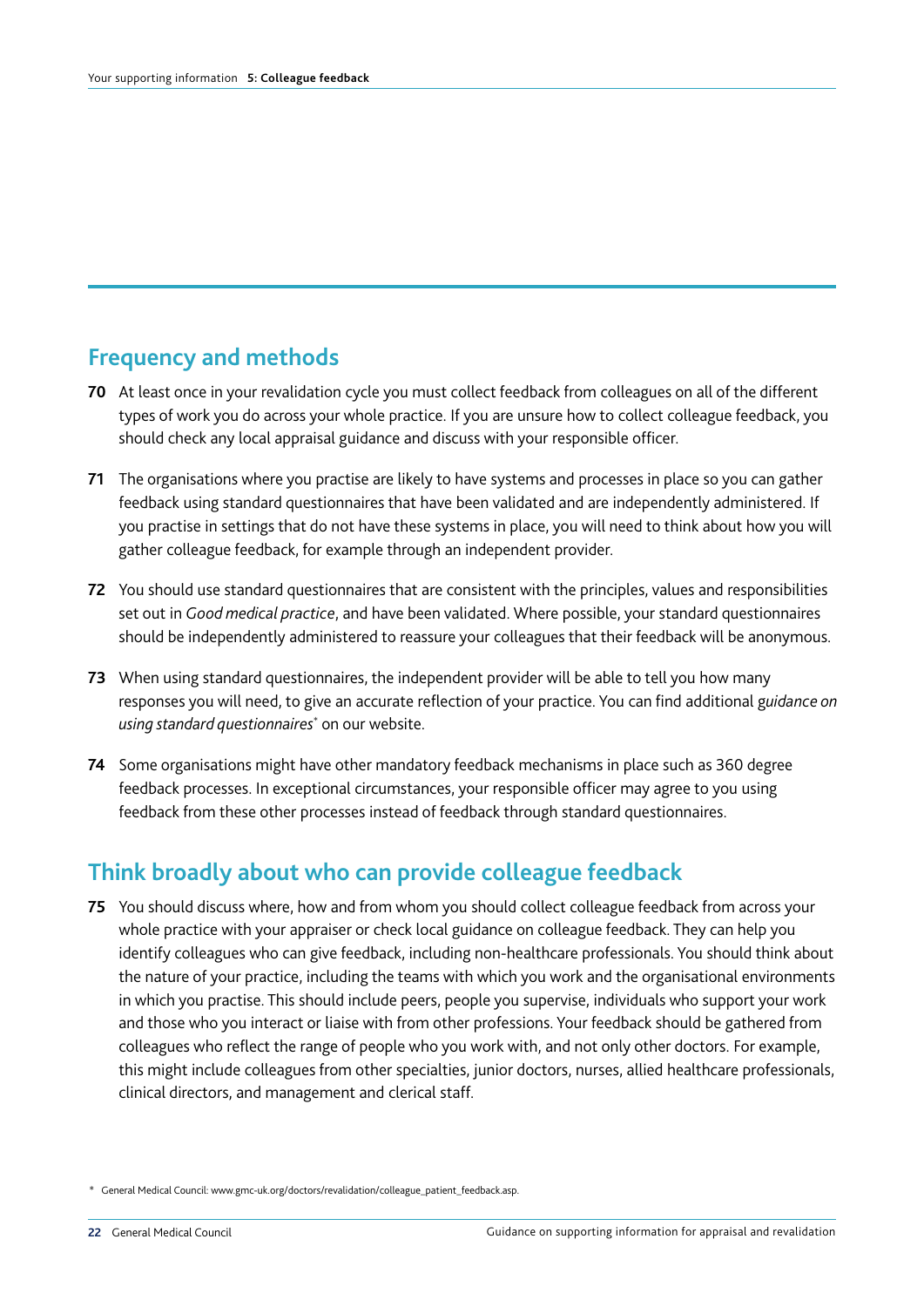## **Frequency and methods**

- **70** At least once in your revalidation cycle you must collect feedback from colleagues on all of the different types of work you do across your whole practice. If you are unsure how to collect colleague feedback, you should check any local appraisal guidance and discuss with your responsible officer.
- **71** The organisations where you practise are likely to have systems and processes in place so you can gather feedback using standard questionnaires that have been validated and are independently administered. If you practise in settings that do not have these systems in place, you will need to think about how you will gather colleague feedback, for example through an independent provider.
- **72** You should use standard questionnaires that are consistent with the principles, values and responsibilities set out in *Good medical practice*, and have been validated. Where possible, your standard questionnaires should be independently administered to reassure your colleagues that their feedback will be anonymous.
- **73** When using standard questionnaires, the independent provider will be able to tell you how many responses you will need, to give an accurate reflection of your practice. You can find additional g*uidance on using standard questionnaires*\* on our website.
- **74** Some organisations might have other mandatory feedback mechanisms in place such as 360 degree feedback processes. In exceptional circumstances, your responsible officer may agree to you using feedback from these other processes instead of feedback through standard questionnaires.

## **Think broadly about who can provide colleague feedback**

**75** You should discuss where, how and from whom you should collect colleague feedback from across your whole practice with your appraiser or check local guidance on colleague feedback. They can help you identify colleagues who can give feedback, including non-healthcare professionals. You should think about the nature of your practice, including the teams with which you work and the organisational environments in which you practise. This should include peers, people you supervise, individuals who support your work and those who you interact or liaise with from other professions. Your feedback should be gathered from colleagues who reflect the range of people who you work with, and not only other doctors. For example, this might include colleagues from other specialties, junior doctors, nurses, allied healthcare professionals, clinical directors, and management and clerical staff.

<sup>\*</sup> General Medical Council: www.gmc-uk.org/doctors/revalidation/colleague\_patient\_feedback.asp.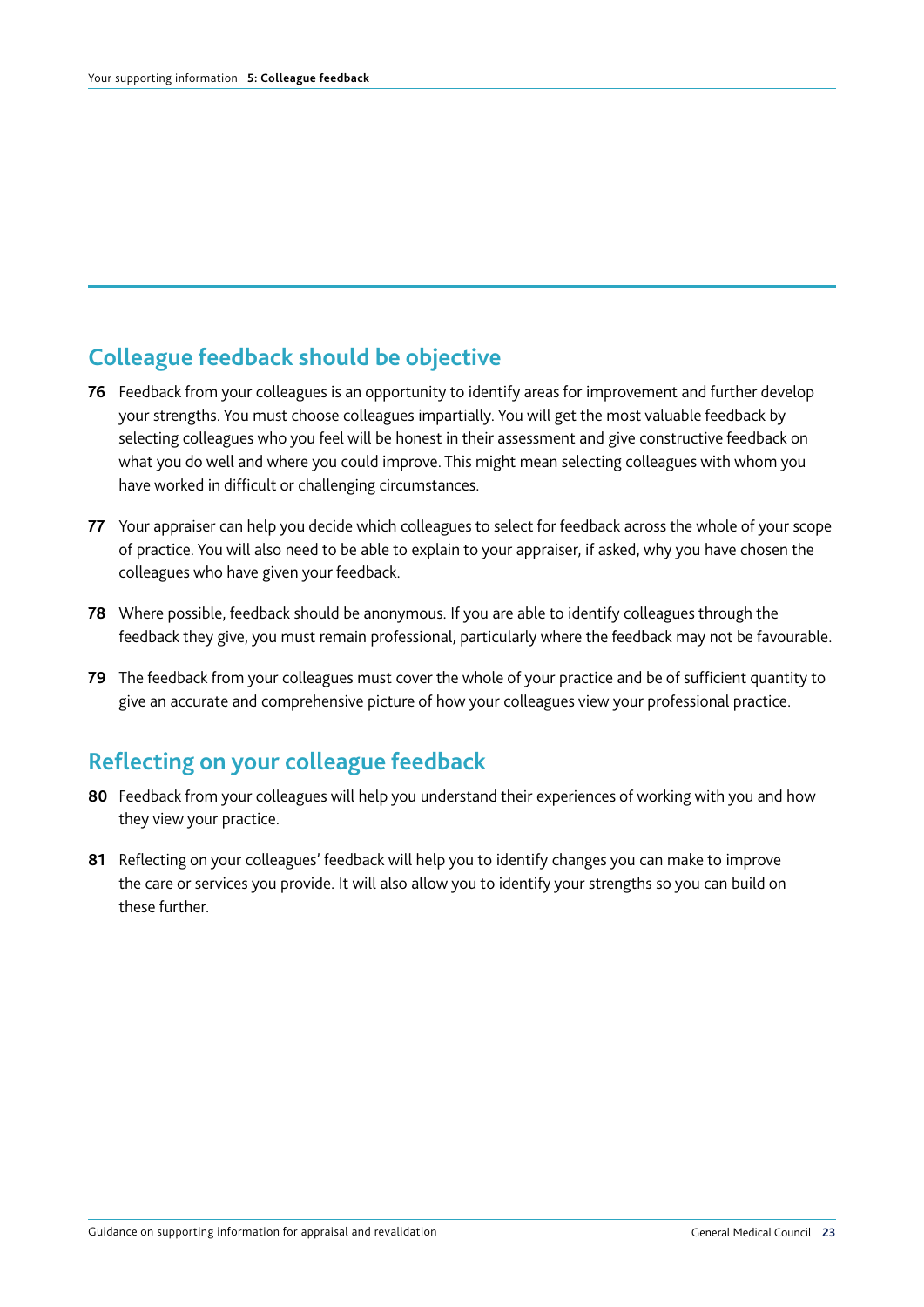## **Colleague feedback should be objective**

- **76** Feedback from your colleagues is an opportunity to identify areas for improvement and further develop your strengths. You must choose colleagues impartially. You will get the most valuable feedback by selecting colleagues who you feel will be honest in their assessment and give constructive feedback on what you do well and where you could improve. This might mean selecting colleagues with whom you have worked in difficult or challenging circumstances.
- **77** Your appraiser can help you decide which colleagues to select for feedback across the whole of your scope of practice. You will also need to be able to explain to your appraiser, if asked, why you have chosen the colleagues who have given your feedback.
- **78** Where possible, feedback should be anonymous. If you are able to identify colleagues through the feedback they give, you must remain professional, particularly where the feedback may not be favourable.
- **79** The feedback from your colleagues must cover the whole of your practice and be of sufficient quantity to give an accurate and comprehensive picture of how your colleagues view your professional practice.

#### **Reflecting on your colleague feedback**

- **80** Feedback from your colleagues will help you understand their experiences of working with you and how they view your practice.
- **81** Reflecting on your colleagues' feedback will help you to identify changes you can make to improve the care or services you provide. It will also allow you to identify your strengths so you can build on these further.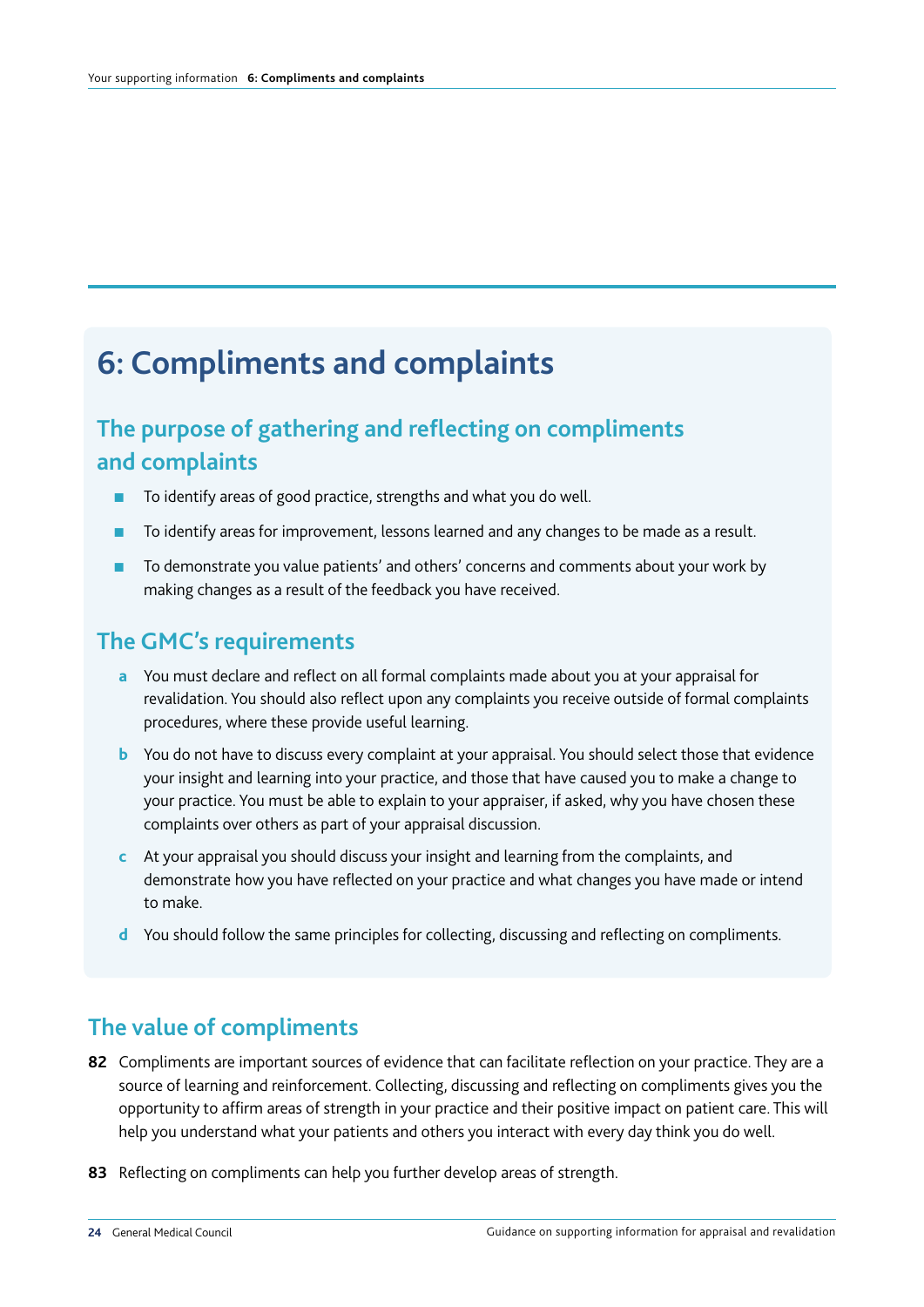# **6: Compliments and complaints**

# **The purpose of gathering and reflecting on compliments and complaints**

- To identify areas of good practice, strengths and what you do well.
- To identify areas for improvement, lessons learned and any changes to be made as a result.
- To demonstrate you value patients' and others' concerns and comments about your work by making changes as a result of the feedback you have received.

#### **The GMC's requirements**

- **a** You must declare and reflect on all formal complaints made about you at your appraisal for revalidation. You should also reflect upon any complaints you receive outside of formal complaints procedures, where these provide useful learning.
- **b** You do not have to discuss every complaint at your appraisal. You should select those that evidence your insight and learning into your practice, and those that have caused you to make a change to your practice. You must be able to explain to your appraiser, if asked, why you have chosen these complaints over others as part of your appraisal discussion.
- **c** At your appraisal you should discuss your insight and learning from the complaints, and demonstrate how you have reflected on your practice and what changes you have made or intend to make.
- **d** You should follow the same principles for collecting, discussing and reflecting on compliments.

#### **The value of compliments**

- **82** Compliments are important sources of evidence that can facilitate reflection on your practice. They are a source of learning and reinforcement. Collecting, discussing and reflecting on compliments gives you the opportunity to affirm areas of strength in your practice and their positive impact on patient care. This will help you understand what your patients and others you interact with every day think you do well.
- **83** Reflecting on compliments can help you further develop areas of strength.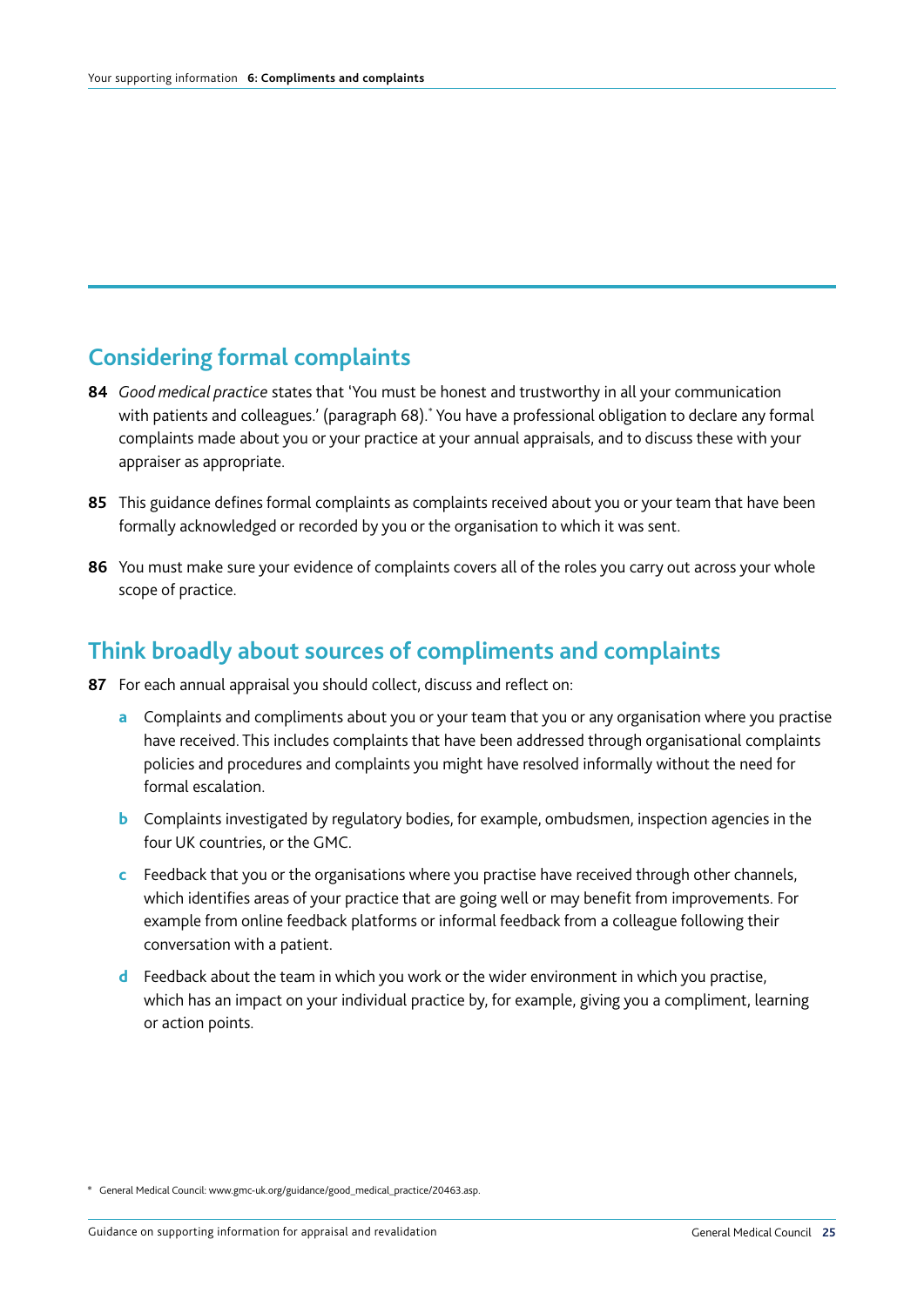## **Considering formal complaints**

- **84** *Good medical practice* states that 'You must be honest and trustworthy in all your communication with patients and colleagues.' (paragraph 68).\* You have a professional obligation to declare any formal complaints made about you or your practice at your annual appraisals, and to discuss these with your appraiser as appropriate.
- **85** This guidance defines formal complaints as complaints received about you or your team that have been formally acknowledged or recorded by you or the organisation to which it was sent.
- **86** You must make sure your evidence of complaints covers all of the roles you carry out across your whole scope of practice.

#### **Think broadly about sources of compliments and complaints**

- **87** For each annual appraisal you should collect, discuss and reflect on:
	- **a** Complaints and compliments about you or your team that you or any organisation where you practise have received. This includes complaints that have been addressed through organisational complaints policies and procedures and complaints you might have resolved informally without the need for formal escalation.
	- **b** Complaints investigated by regulatory bodies, for example, ombudsmen, inspection agencies in the four UK countries, or the GMC.
	- **c** Feedback that you or the organisations where you practise have received through other channels, which identifies areas of your practice that are going well or may benefit from improvements. For example from online feedback platforms or informal feedback from a colleague following their conversation with a patient.
	- **d** Feedback about the team in which you work or the wider environment in which you practise, which has an impact on your individual practice by, for example, giving you a compliment, learning or action points.

<sup>\*</sup> General Medical Council: www.gmc-uk.org/guidance/good\_medical\_practice/20463.asp.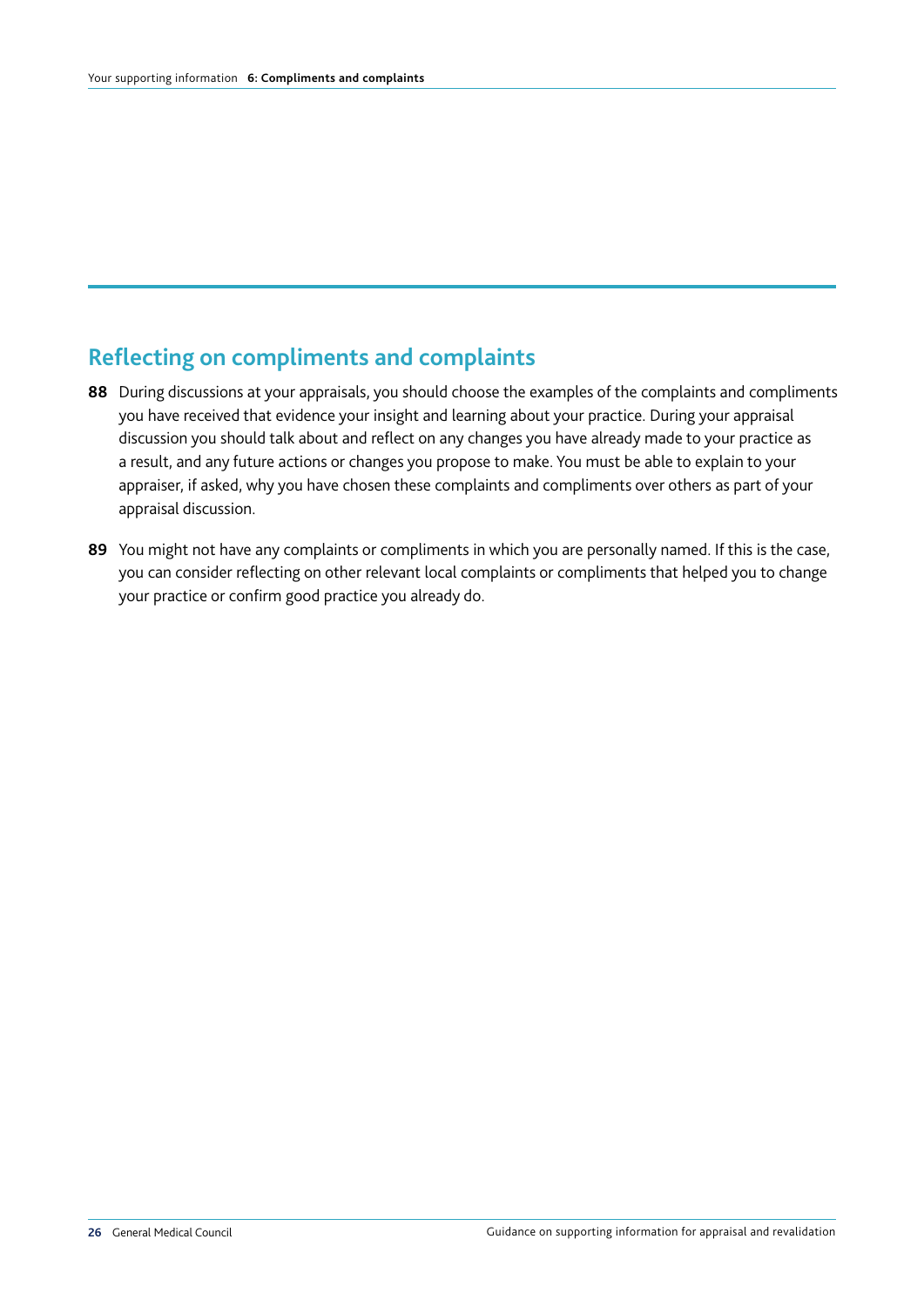# **Reflecting on compliments and complaints**

- **88** During discussions at your appraisals, you should choose the examples of the complaints and compliments you have received that evidence your insight and learning about your practice. During your appraisal discussion you should talk about and reflect on any changes you have already made to your practice as a result, and any future actions or changes you propose to make. You must be able to explain to your appraiser, if asked, why you have chosen these complaints and compliments over others as part of your appraisal discussion.
- **89** You might not have any complaints or compliments in which you are personally named. If this is the case, you can consider reflecting on other relevant local complaints or compliments that helped you to change your practice or confirm good practice you already do.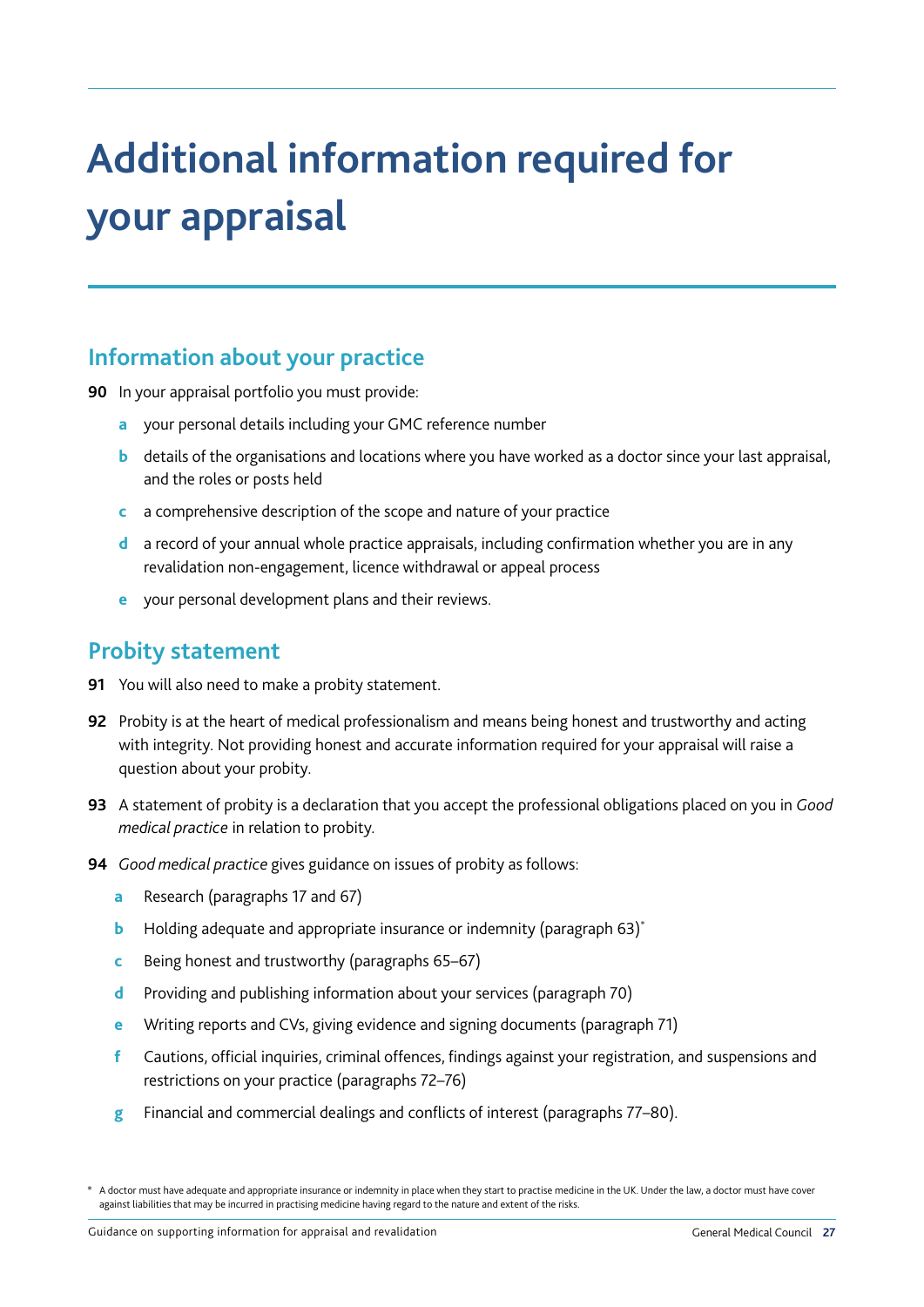# **Additional information required for your appraisal**

#### **Information about your practice**

**90** In your appraisal portfolio you must provide:

- **a** your personal details including your GMC reference number
- **b** details of the organisations and locations where you have worked as a doctor since your last appraisal, and the roles or posts held
- **c** a comprehensive description of the scope and nature of your practice
- **d** a record of your annual whole practice appraisals, including confirmation whether you are in any revalidation non-engagement, licence withdrawal or appeal process
- **e** your personal development plans and their reviews.

#### **Probity statement**

- **91** You will also need to make a probity statement.
- **92** Probity is at the heart of medical professionalism and means being honest and trustworthy and acting with integrity. Not providing honest and accurate information required for your appraisal will raise a question about your probity.
- **93** A statement of probity is a declaration that you accept the professional obligations placed on you in *Good medical practice* in relation to probity.
- **94** *Good medical practice* gives guidance on issues of probity as follows:
	- **a** Research (paragraphs 17 and 67)
	- **b** Holding adequate and appropriate insurance or indemnity (paragraph 63)<sup>\*</sup>
	- **c** Being honest and trustworthy (paragraphs 65–67)
	- **d** Providing and publishing information about your services (paragraph 70)
	- **e** Writing reports and CVs, giving evidence and signing documents (paragraph 71)
	- **f** Cautions, official inquiries, criminal offences, findings against your registration, and suspensions and restrictions on your practice (paragraphs 72–76)
	- **g** Financial and commercial dealings and conflicts of interest (paragraphs 77–80).

A doctor must have adequate and appropriate insurance or indemnity in place when they start to practise medicine in the UK. Under the law, a doctor must have cover against liabilities that may be incurred in practising medicine having regard to the nature and extent of the risks.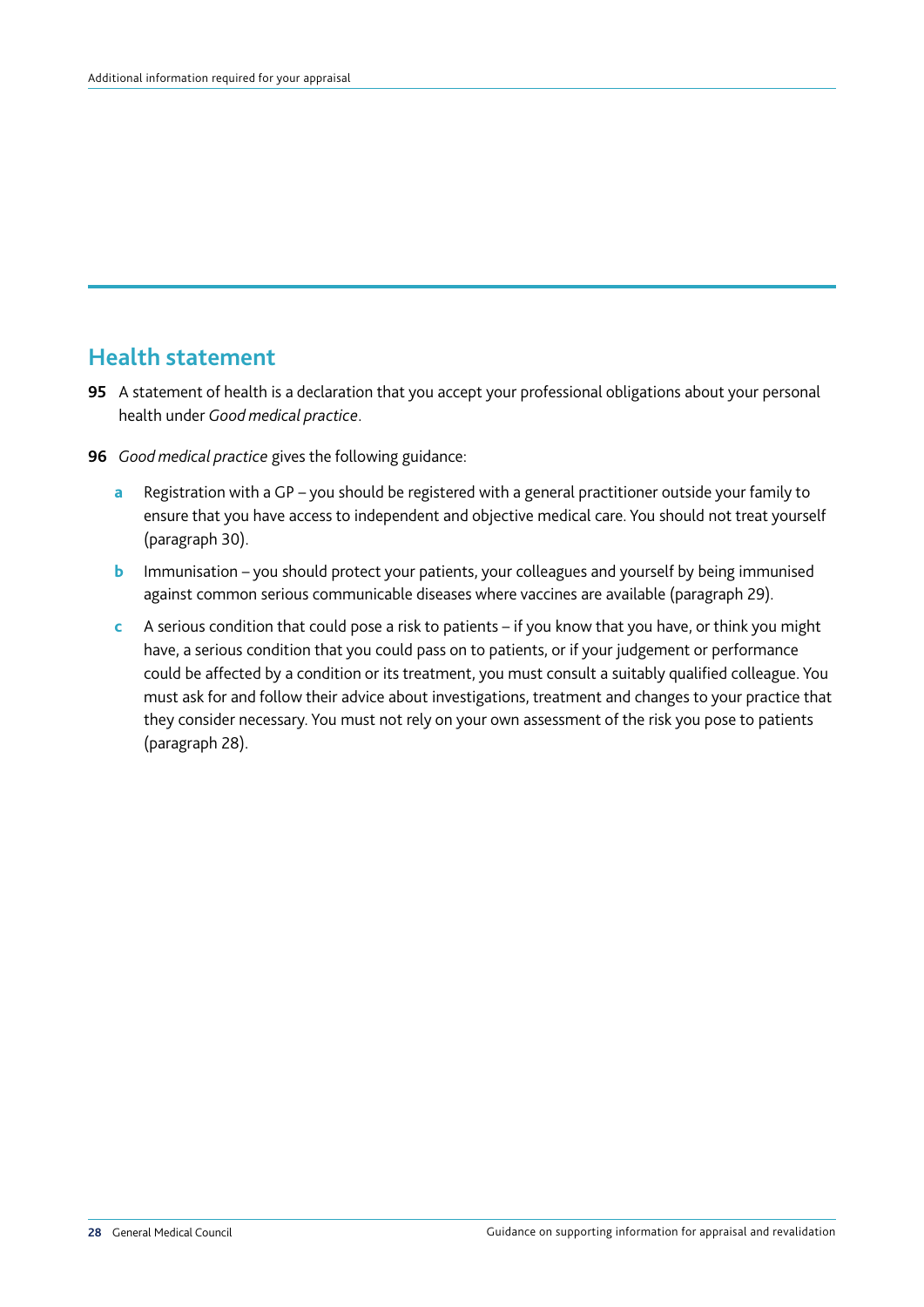#### **Health statement**

- **95** A statement of health is a declaration that you accept your professional obligations about your personal health under *Good medical practice*.
- **96** *Good medical practice* gives the following guidance:
	- **a** Registration with a GP you should be registered with a general practitioner outside your family to ensure that you have access to independent and objective medical care. You should not treat yourself (paragraph 30).
	- **b** Immunisation you should protect your patients, your colleagues and yourself by being immunised against common serious communicable diseases where vaccines are available (paragraph 29).
	- **c** A serious condition that could pose a risk to patients if you know that you have, or think you might have, a serious condition that you could pass on to patients, or if your judgement or performance could be affected by a condition or its treatment, you must consult a suitably qualified colleague. You must ask for and follow their advice about investigations, treatment and changes to your practice that they consider necessary. You must not rely on your own assessment of the risk you pose to patients (paragraph 28).